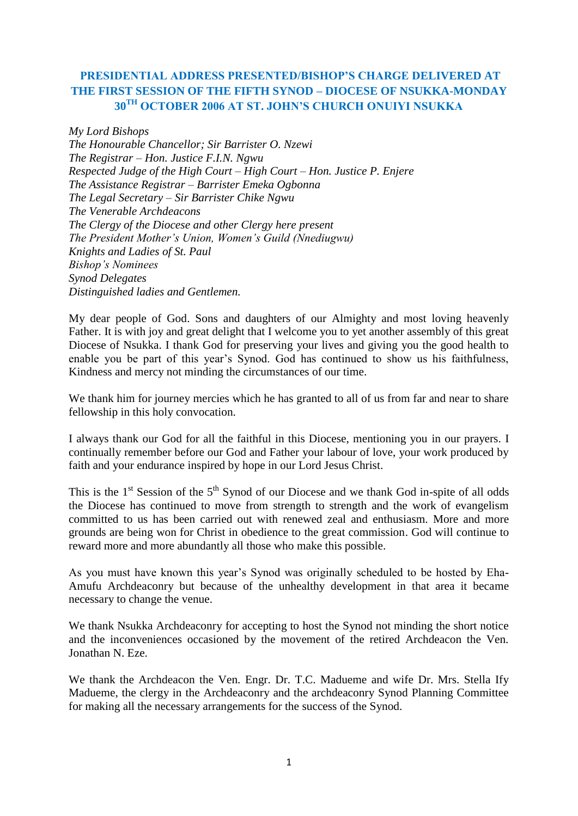# **PRESIDENTIAL ADDRESS PRESENTED/BISHOP'S CHARGE DELIVERED AT THE FIRST SESSION OF THE FIFTH SYNOD – DIOCESE OF NSUKKA-MONDAY 30TH OCTOBER 2006 AT ST. JOHN'S CHURCH ONUIYI NSUKKA**

*My Lord Bishops The Honourable Chancellor; Sir Barrister O. Nzewi The Registrar – Hon. Justice F.I.N. Ngwu Respected Judge of the High Court – High Court – Hon. Justice P. Enjere The Assistance Registrar – Barrister Emeka Ogbonna The Legal Secretary – Sir Barrister Chike Ngwu The Venerable Archdeacons The Clergy of the Diocese and other Clergy here present The President Mother's Union, Women's Guild (Nnediugwu) Knights and Ladies of St. Paul Bishop's Nominees Synod Delegates Distinguished ladies and Gentlemen.*

My dear people of God. Sons and daughters of our Almighty and most loving heavenly Father. It is with joy and great delight that I welcome you to yet another assembly of this great Diocese of Nsukka. I thank God for preserving your lives and giving you the good health to enable you be part of this year"s Synod. God has continued to show us his faithfulness, Kindness and mercy not minding the circumstances of our time.

We thank him for journey mercies which he has granted to all of us from far and near to share fellowship in this holy convocation.

I always thank our God for all the faithful in this Diocese, mentioning you in our prayers. I continually remember before our God and Father your labour of love, your work produced by faith and your endurance inspired by hope in our Lord Jesus Christ.

This is the  $1<sup>st</sup>$  Session of the  $5<sup>th</sup>$  Synod of our Diocese and we thank God in-spite of all odds the Diocese has continued to move from strength to strength and the work of evangelism committed to us has been carried out with renewed zeal and enthusiasm. More and more grounds are being won for Christ in obedience to the great commission. God will continue to reward more and more abundantly all those who make this possible.

As you must have known this year"s Synod was originally scheduled to be hosted by Eha-Amufu Archdeaconry but because of the unhealthy development in that area it became necessary to change the venue.

We thank Nsukka Archdeaconry for accepting to host the Synod not minding the short notice and the inconveniences occasioned by the movement of the retired Archdeacon the Ven. Jonathan N. Eze.

We thank the Archdeacon the Ven. Engr. Dr. T.C. Madueme and wife Dr. Mrs. Stella Ify Madueme, the clergy in the Archdeaconry and the archdeaconry Synod Planning Committee for making all the necessary arrangements for the success of the Synod.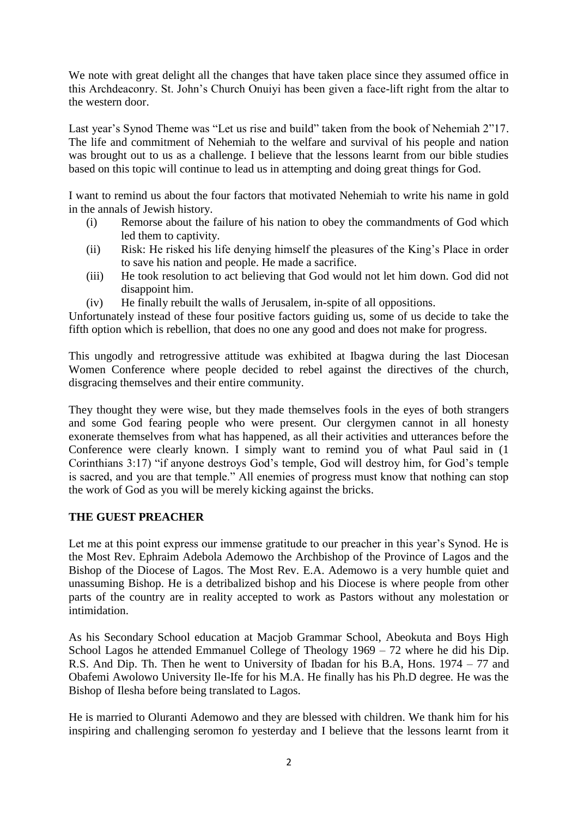We note with great delight all the changes that have taken place since they assumed office in this Archdeaconry. St. John"s Church Onuiyi has been given a face-lift right from the altar to the western door.

Last year's Synod Theme was "Let us rise and build" taken from the book of Nehemiah 2"17. The life and commitment of Nehemiah to the welfare and survival of his people and nation was brought out to us as a challenge. I believe that the lessons learnt from our bible studies based on this topic will continue to lead us in attempting and doing great things for God.

I want to remind us about the four factors that motivated Nehemiah to write his name in gold in the annals of Jewish history.

- (i) Remorse about the failure of his nation to obey the commandments of God which led them to captivity.
- (ii) Risk: He risked his life denying himself the pleasures of the King"s Place in order to save his nation and people. He made a sacrifice.
- (iii) He took resolution to act believing that God would not let him down. God did not disappoint him.
- (iv) He finally rebuilt the walls of Jerusalem, in-spite of all oppositions.

Unfortunately instead of these four positive factors guiding us, some of us decide to take the fifth option which is rebellion, that does no one any good and does not make for progress.

This ungodly and retrogressive attitude was exhibited at Ibagwa during the last Diocesan Women Conference where people decided to rebel against the directives of the church, disgracing themselves and their entire community.

They thought they were wise, but they made themselves fools in the eyes of both strangers and some God fearing people who were present. Our clergymen cannot in all honesty exonerate themselves from what has happened, as all their activities and utterances before the Conference were clearly known. I simply want to remind you of what Paul said in (1 Corinthians 3:17) "if anyone destroys God"s temple, God will destroy him, for God"s temple is sacred, and you are that temple." All enemies of progress must know that nothing can stop the work of God as you will be merely kicking against the bricks.

# **THE GUEST PREACHER**

Let me at this point express our immense gratitude to our preacher in this year's Synod. He is the Most Rev. Ephraim Adebola Ademowo the Archbishop of the Province of Lagos and the Bishop of the Diocese of Lagos. The Most Rev. E.A. Ademowo is a very humble quiet and unassuming Bishop. He is a detribalized bishop and his Diocese is where people from other parts of the country are in reality accepted to work as Pastors without any molestation or intimidation.

As his Secondary School education at Macjob Grammar School, Abeokuta and Boys High School Lagos he attended Emmanuel College of Theology 1969 – 72 where he did his Dip. R.S. And Dip. Th. Then he went to University of Ibadan for his B.A, Hons. 1974 – 77 and Obafemi Awolowo University Ile-Ife for his M.A. He finally has his Ph.D degree. He was the Bishop of Ilesha before being translated to Lagos.

He is married to Oluranti Ademowo and they are blessed with children. We thank him for his inspiring and challenging seromon fo yesterday and I believe that the lessons learnt from it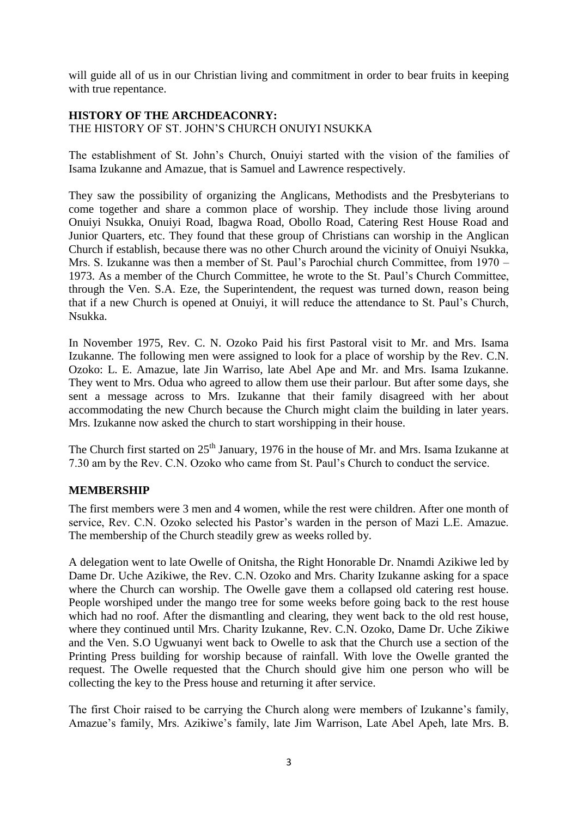will guide all of us in our Christian living and commitment in order to bear fruits in keeping with true repentance.

# **HISTORY OF THE ARCHDEACONRY:**

THE HISTORY OF ST. JOHN"S CHURCH ONUIYI NSUKKA

The establishment of St. John"s Church, Onuiyi started with the vision of the families of Isama Izukanne and Amazue, that is Samuel and Lawrence respectively.

They saw the possibility of organizing the Anglicans, Methodists and the Presbyterians to come together and share a common place of worship. They include those living around Onuiyi Nsukka, Onuiyi Road, Ibagwa Road, Obollo Road, Catering Rest House Road and Junior Quarters, etc. They found that these group of Christians can worship in the Anglican Church if establish, because there was no other Church around the vicinity of Onuiyi Nsukka, Mrs. S. Izukanne was then a member of St. Paul"s Parochial church Committee, from 1970 – 1973. As a member of the Church Committee, he wrote to the St. Paul"s Church Committee, through the Ven. S.A. Eze, the Superintendent, the request was turned down, reason being that if a new Church is opened at Onuiyi, it will reduce the attendance to St. Paul"s Church, Nsukka.

In November 1975, Rev. C. N. Ozoko Paid his first Pastoral visit to Mr. and Mrs. Isama Izukanne. The following men were assigned to look for a place of worship by the Rev. C.N. Ozoko: L. E. Amazue, late Jin Warriso, late Abel Ape and Mr. and Mrs. Isama Izukanne. They went to Mrs. Odua who agreed to allow them use their parlour. But after some days, she sent a message across to Mrs. Izukanne that their family disagreed with her about accommodating the new Church because the Church might claim the building in later years. Mrs. Izukanne now asked the church to start worshipping in their house.

The Church first started on 25<sup>th</sup> January, 1976 in the house of Mr. and Mrs. Isama Izukanne at 7.30 am by the Rev. C.N. Ozoko who came from St. Paul"s Church to conduct the service.

# **MEMBERSHIP**

The first members were 3 men and 4 women, while the rest were children. After one month of service, Rev. C.N. Ozoko selected his Pastor's warden in the person of Mazi L.E. Amazue. The membership of the Church steadily grew as weeks rolled by.

A delegation went to late Owelle of Onitsha, the Right Honorable Dr. Nnamdi Azikiwe led by Dame Dr. Uche Azikiwe, the Rev. C.N. Ozoko and Mrs. Charity Izukanne asking for a space where the Church can worship. The Owelle gave them a collapsed old catering rest house. People worshiped under the mango tree for some weeks before going back to the rest house which had no roof. After the dismantling and clearing, they went back to the old rest house, where they continued until Mrs. Charity Izukanne, Rev. C.N. Ozoko, Dame Dr. Uche Zikiwe and the Ven. S.O Ugwuanyi went back to Owelle to ask that the Church use a section of the Printing Press building for worship because of rainfall. With love the Owelle granted the request. The Owelle requested that the Church should give him one person who will be collecting the key to the Press house and returning it after service.

The first Choir raised to be carrying the Church along were members of Izukanne's family, Amazue"s family, Mrs. Azikiwe"s family, late Jim Warrison, Late Abel Apeh, late Mrs. B.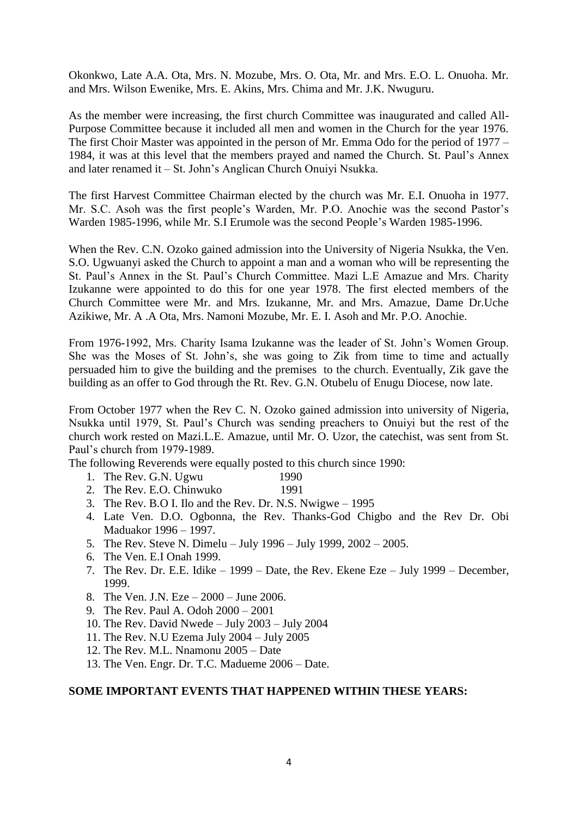Okonkwo, Late A.A. Ota, Mrs. N. Mozube, Mrs. O. Ota, Mr. and Mrs. E.O. L. Onuoha. Mr. and Mrs. Wilson Ewenike, Mrs. E. Akins, Mrs. Chima and Mr. J.K. Nwuguru.

As the member were increasing, the first church Committee was inaugurated and called All-Purpose Committee because it included all men and women in the Church for the year 1976. The first Choir Master was appointed in the person of Mr. Emma Odo for the period of 1977 – 1984, it was at this level that the members prayed and named the Church. St. Paul"s Annex and later renamed it – St. John"s Anglican Church Onuiyi Nsukka.

The first Harvest Committee Chairman elected by the church was Mr. E.I. Onuoha in 1977. Mr. S.C. Asoh was the first people's Warden, Mr. P.O. Anochie was the second Pastor's Warden 1985-1996, while Mr. S.I Erumole was the second People"s Warden 1985-1996.

When the Rev. C.N. Ozoko gained admission into the University of Nigeria Nsukka, the Ven. S.O. Ugwuanyi asked the Church to appoint a man and a woman who will be representing the St. Paul"s Annex in the St. Paul"s Church Committee. Mazi L.E Amazue and Mrs. Charity Izukanne were appointed to do this for one year 1978. The first elected members of the Church Committee were Mr. and Mrs. Izukanne, Mr. and Mrs. Amazue, Dame Dr.Uche Azikiwe, Mr. A .A Ota, Mrs. Namoni Mozube, Mr. E. I. Asoh and Mr. P.O. Anochie.

From 1976-1992, Mrs. Charity Isama Izukanne was the leader of St. John"s Women Group. She was the Moses of St. John"s, she was going to Zik from time to time and actually persuaded him to give the building and the premises to the church. Eventually, Zik gave the building as an offer to God through the Rt. Rev. G.N. Otubelu of Enugu Diocese, now late.

From October 1977 when the Rev C. N. Ozoko gained admission into university of Nigeria, Nsukka until 1979, St. Paul"s Church was sending preachers to Onuiyi but the rest of the church work rested on Mazi.L.E. Amazue, until Mr. O. Uzor, the catechist, was sent from St. Paul"s church from 1979-1989.

The following Reverends were equally posted to this church since 1990:

- 1. The Rev. G.N. Ugwu 1990
- 2. The Rev. E.O. Chinwuko 1991
- 3. The Rev. B.O I. Ilo and the Rev. Dr. N.S. Nwigwe 1995
- 4. Late Ven. D.O. Ogbonna, the Rev. Thanks-God Chigbo and the Rev Dr. Obi Maduakor 1996 – 1997.
- 5. The Rev. Steve N. Dimelu July 1996 July 1999, 2002 2005.
- 6. The Ven. E.I Onah 1999.
- 7. The Rev. Dr. E.E. Idike 1999 Date, the Rev. Ekene Eze July 1999 December, 1999.
- 8. The Ven. J.N. Eze 2000 June 2006.
- 9. The Rev. Paul A. Odoh 2000 2001
- 10. The Rev. David Nwede July 2003 July 2004
- 11. The Rev. N.U Ezema July 2004 July 2005
- 12. The Rev. M.L. Nnamonu 2005 Date
- 13. The Ven. Engr. Dr. T.C. Madueme 2006 Date.

#### **SOME IMPORTANT EVENTS THAT HAPPENED WITHIN THESE YEARS:**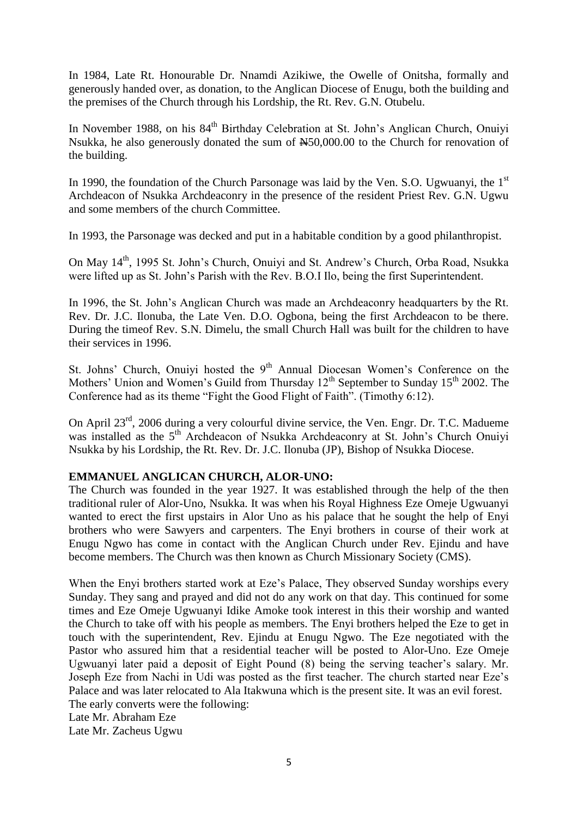In 1984, Late Rt. Honourable Dr. Nnamdi Azikiwe, the Owelle of Onitsha, formally and generously handed over, as donation, to the Anglican Diocese of Enugu, both the building and the premises of the Church through his Lordship, the Rt. Rev. G.N. Otubelu.

In November 1988, on his 84<sup>th</sup> Birthday Celebration at St. John's Anglican Church, Onuivi Nsukka, he also generously donated the sum of  $\text{\#}50,000.00$  to the Church for renovation of the building.

In 1990, the foundation of the Church Parsonage was laid by the Ven. S.O. Ugwuanyi, the 1<sup>st</sup> Archdeacon of Nsukka Archdeaconry in the presence of the resident Priest Rev. G.N. Ugwu and some members of the church Committee.

In 1993, the Parsonage was decked and put in a habitable condition by a good philanthropist.

On May 14<sup>th</sup>, 1995 St. John's Church, Onuiyi and St. Andrew's Church, Orba Road, Nsukka were lifted up as St. John"s Parish with the Rev. B.O.I Ilo, being the first Superintendent.

In 1996, the St. John"s Anglican Church was made an Archdeaconry headquarters by the Rt. Rev. Dr. J.C. Ilonuba, the Late Ven. D.O. Ogbona, being the first Archdeacon to be there. During the timeof Rev. S.N. Dimelu, the small Church Hall was built for the children to have their services in 1996.

St. Johns' Church, Onuiyi hosted the 9<sup>th</sup> Annual Diocesan Women's Conference on the Mothers' Union and Women's Guild from Thursday  $12<sup>th</sup>$  September to Sunday  $15<sup>th</sup>$  2002. The Conference had as its theme "Fight the Good Flight of Faith". (Timothy 6:12).

On April 23rd, 2006 during a very colourful divine service, the Ven. Engr. Dr. T.C. Madueme was installed as the 5<sup>th</sup> Archdeacon of Nsukka Archdeaconry at St. John's Church Onuiyi Nsukka by his Lordship, the Rt. Rev. Dr. J.C. Ilonuba (JP), Bishop of Nsukka Diocese.

# **EMMANUEL ANGLICAN CHURCH, ALOR-UNO:**

The Church was founded in the year 1927. It was established through the help of the then traditional ruler of Alor-Uno, Nsukka. It was when his Royal Highness Eze Omeje Ugwuanyi wanted to erect the first upstairs in Alor Uno as his palace that he sought the help of Enyi brothers who were Sawyers and carpenters. The Enyi brothers in course of their work at Enugu Ngwo has come in contact with the Anglican Church under Rev. Ejindu and have become members. The Church was then known as Church Missionary Society (CMS).

When the Enyi brothers started work at Eze's Palace, They observed Sunday worships every Sunday. They sang and prayed and did not do any work on that day. This continued for some times and Eze Omeje Ugwuanyi Idike Amoke took interest in this their worship and wanted the Church to take off with his people as members. The Enyi brothers helped the Eze to get in touch with the superintendent, Rev. Ejindu at Enugu Ngwo. The Eze negotiated with the Pastor who assured him that a residential teacher will be posted to Alor-Uno. Eze Omeje Ugwuanyi later paid a deposit of Eight Pound (8) being the serving teacher's salary. Mr. Joseph Eze from Nachi in Udi was posted as the first teacher. The church started near Eze"s Palace and was later relocated to Ala Itakwuna which is the present site. It was an evil forest. The early converts were the following: Late Mr. Abraham Eze

Late Mr. Zacheus Ugwu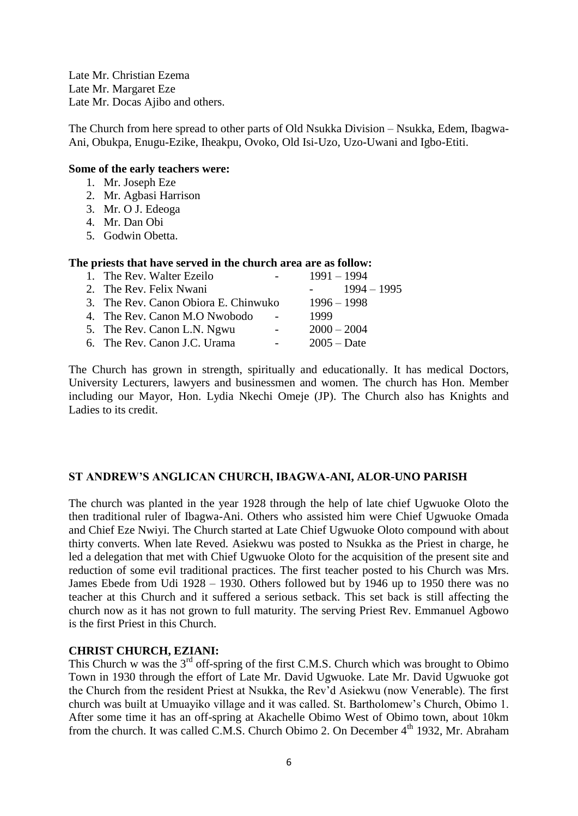Late Mr. Christian Ezema Late Mr. Margaret Eze Late Mr. Docas Ajibo and others.

The Church from here spread to other parts of Old Nsukka Division – Nsukka, Edem, Ibagwa-Ani, Obukpa, Enugu-Ezike, Iheakpu, Ovoko, Old Isi-Uzo, Uzo-Uwani and Igbo-Etiti.

#### **Some of the early teachers were:**

- 1. Mr. Joseph Eze
- 2. Mr. Agbasi Harrison
- 3. Mr. O J. Edeoga
- 4. Mr. Dan Obi
- 5. Godwin Obetta.

#### **The priests that have served in the church area are as follow:**

| $\sim$ 100 $\mu$ | $1991 - 1994$                                                                                                                                                                                |
|------------------|----------------------------------------------------------------------------------------------------------------------------------------------------------------------------------------------|
|                  | $1994 - 1995$<br><b>All Street</b>                                                                                                                                                           |
|                  | $1996 - 1998$                                                                                                                                                                                |
|                  | 1999                                                                                                                                                                                         |
| $\sim 100$       | $2000 - 2004$                                                                                                                                                                                |
| $\sim 100$       | $2005 - Date$                                                                                                                                                                                |
|                  | 1. The Rev. Walter Ezeilo<br>2. The Rev. Felix Nwani<br>3. The Rev. Canon Obiora E. Chinwuko<br>4. The Rev. Canon M.O Nwobodo<br>5. The Rev. Canon L.N. Ngwu<br>6. The Rev. Canon J.C. Urama |

The Church has grown in strength, spiritually and educationally. It has medical Doctors, University Lecturers, lawyers and businessmen and women. The church has Hon. Member including our Mayor, Hon. Lydia Nkechi Omeje (JP). The Church also has Knights and Ladies to its credit.

#### **ST ANDREW'S ANGLICAN CHURCH, IBAGWA-ANI, ALOR-UNO PARISH**

The church was planted in the year 1928 through the help of late chief Ugwuoke Oloto the then traditional ruler of Ibagwa-Ani. Others who assisted him were Chief Ugwuoke Omada and Chief Eze Nwiyi. The Church started at Late Chief Ugwuoke Oloto compound with about thirty converts. When late Reved. Asiekwu was posted to Nsukka as the Priest in charge, he led a delegation that met with Chief Ugwuoke Oloto for the acquisition of the present site and reduction of some evil traditional practices. The first teacher posted to his Church was Mrs. James Ebede from Udi 1928 – 1930. Others followed but by 1946 up to 1950 there was no teacher at this Church and it suffered a serious setback. This set back is still affecting the church now as it has not grown to full maturity. The serving Priest Rev. Emmanuel Agbowo is the first Priest in this Church.

#### **CHRIST CHURCH, EZIANI:**

This Church w was the  $3<sup>rd</sup>$  off-spring of the first C.M.S. Church which was brought to Obimo Town in 1930 through the effort of Late Mr. David Ugwuoke. Late Mr. David Ugwuoke got the Church from the resident Priest at Nsukka, the Rev"d Asiekwu (now Venerable). The first church was built at Umuayiko village and it was called. St. Bartholomew"s Church, Obimo 1. After some time it has an off-spring at Akachelle Obimo West of Obimo town, about 10km from the church. It was called C.M.S. Church Obimo 2. On December 4<sup>th</sup> 1932, Mr. Abraham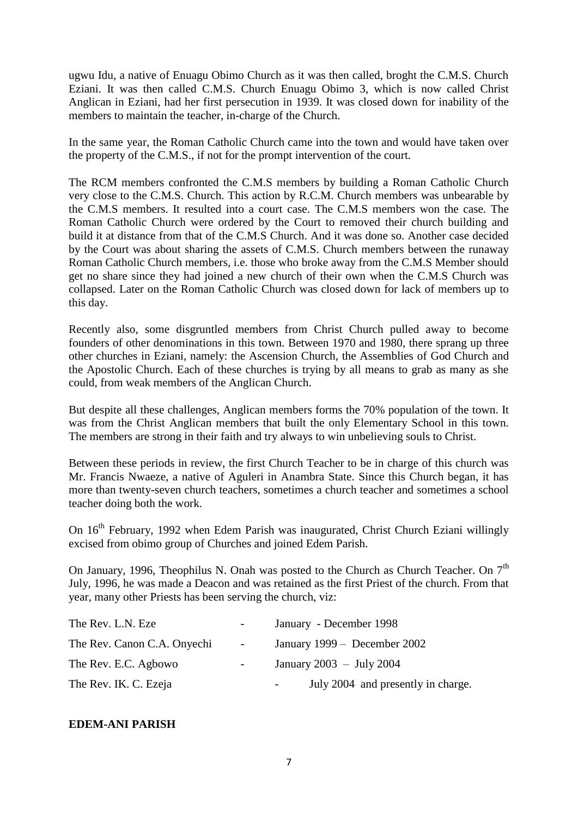ugwu Idu, a native of Enuagu Obimo Church as it was then called, broght the C.M.S. Church Eziani. It was then called C.M.S. Church Enuagu Obimo 3, which is now called Christ Anglican in Eziani, had her first persecution in 1939. It was closed down for inability of the members to maintain the teacher, in-charge of the Church.

In the same year, the Roman Catholic Church came into the town and would have taken over the property of the C.M.S., if not for the prompt intervention of the court.

The RCM members confronted the C.M.S members by building a Roman Catholic Church very close to the C.M.S. Church. This action by R.C.M. Church members was unbearable by the C.M.S members. It resulted into a court case. The C.M.S members won the case. The Roman Catholic Church were ordered by the Court to removed their church building and build it at distance from that of the C.M.S Church. And it was done so. Another case decided by the Court was about sharing the assets of C.M.S. Church members between the runaway Roman Catholic Church members, i.e. those who broke away from the C.M.S Member should get no share since they had joined a new church of their own when the C.M.S Church was collapsed. Later on the Roman Catholic Church was closed down for lack of members up to this day.

Recently also, some disgruntled members from Christ Church pulled away to become founders of other denominations in this town. Between 1970 and 1980, there sprang up three other churches in Eziani, namely: the Ascension Church, the Assemblies of God Church and the Apostolic Church. Each of these churches is trying by all means to grab as many as she could, from weak members of the Anglican Church.

But despite all these challenges, Anglican members forms the 70% population of the town. It was from the Christ Anglican members that built the only Elementary School in this town. The members are strong in their faith and try always to win unbelieving souls to Christ.

Between these periods in review, the first Church Teacher to be in charge of this church was Mr. Francis Nwaeze, a native of Aguleri in Anambra State. Since this Church began, it has more than twenty-seven church teachers, sometimes a church teacher and sometimes a school teacher doing both the work.

On 16<sup>th</sup> February, 1992 when Edem Parish was inaugurated, Christ Church Eziani willingly excised from obimo group of Churches and joined Edem Parish.

On January, 1996, Theophilus N. Onah was posted to the Church as Church Teacher. On  $7<sup>th</sup>$ July, 1996, he was made a Deacon and was retained as the first Priest of the church. From that year, many other Priests has been serving the church, viz:

| The Rev. L.N. Eze           | $\sim$                   | January - December 1998            |
|-----------------------------|--------------------------|------------------------------------|
| The Rev. Canon C.A. Onyechi | $\sim 100$               | January 1999 – December 2002       |
| The Rev. E.C. Agbowo        | $\overline{\phantom{a}}$ | January 2003 - July 2004           |
| The Rev. IK. C. Ezeja       |                          | July 2004 and presently in charge. |

#### **EDEM-ANI PARISH**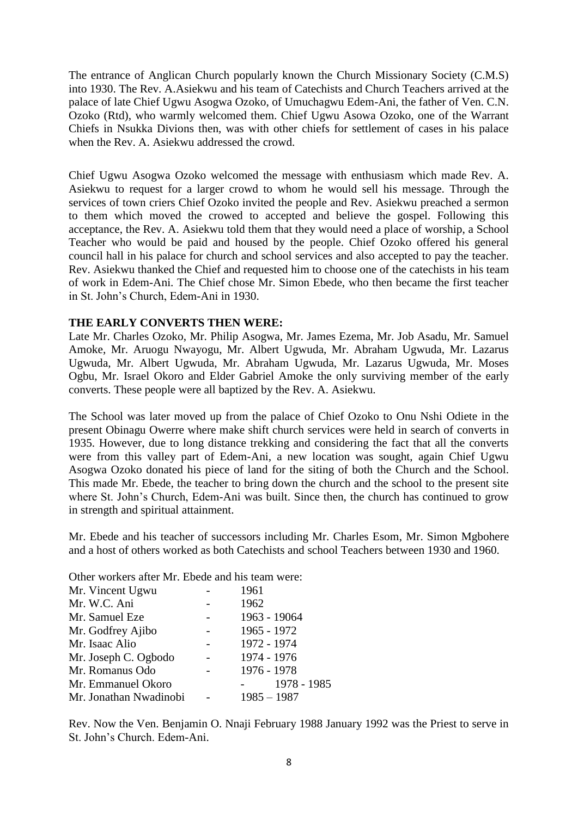The entrance of Anglican Church popularly known the Church Missionary Society (C.M.S) into 1930. The Rev. A.Asiekwu and his team of Catechists and Church Teachers arrived at the palace of late Chief Ugwu Asogwa Ozoko, of Umuchagwu Edem-Ani, the father of Ven. C.N. Ozoko (Rtd), who warmly welcomed them. Chief Ugwu Asowa Ozoko, one of the Warrant Chiefs in Nsukka Divions then, was with other chiefs for settlement of cases in his palace when the Rev. A. Asiekwu addressed the crowd.

Chief Ugwu Asogwa Ozoko welcomed the message with enthusiasm which made Rev. A. Asiekwu to request for a larger crowd to whom he would sell his message. Through the services of town criers Chief Ozoko invited the people and Rev. Asiekwu preached a sermon to them which moved the crowed to accepted and believe the gospel. Following this acceptance, the Rev. A. Asiekwu told them that they would need a place of worship, a School Teacher who would be paid and housed by the people. Chief Ozoko offered his general council hall in his palace for church and school services and also accepted to pay the teacher. Rev. Asiekwu thanked the Chief and requested him to choose one of the catechists in his team of work in Edem-Ani. The Chief chose Mr. Simon Ebede, who then became the first teacher in St. John"s Church, Edem-Ani in 1930.

# **THE EARLY CONVERTS THEN WERE:**

Late Mr. Charles Ozoko, Mr. Philip Asogwa, Mr. James Ezema, Mr. Job Asadu, Mr. Samuel Amoke, Mr. Aruogu Nwayogu, Mr. Albert Ugwuda, Mr. Abraham Ugwuda, Mr. Lazarus Ugwuda, Mr. Albert Ugwuda, Mr. Abraham Ugwuda, Mr. Lazarus Ugwuda, Mr. Moses Ogbu, Mr. Israel Okoro and Elder Gabriel Amoke the only surviving member of the early converts. These people were all baptized by the Rev. A. Asiekwu.

The School was later moved up from the palace of Chief Ozoko to Onu Nshi Odiete in the present Obinagu Owerre where make shift church services were held in search of converts in 1935. However, due to long distance trekking and considering the fact that all the converts were from this valley part of Edem-Ani, a new location was sought, again Chief Ugwu Asogwa Ozoko donated his piece of land for the siting of both the Church and the School. This made Mr. Ebede, the teacher to bring down the church and the school to the present site where St. John"s Church, Edem-Ani was built. Since then, the church has continued to grow in strength and spiritual attainment.

Mr. Ebede and his teacher of successors including Mr. Charles Esom, Mr. Simon Mgbohere and a host of others worked as both Catechists and school Teachers between 1930 and 1960.

Other workers after Mr. Ebede and his team were:

| Mr. Vincent Ugwu       | 1961          |
|------------------------|---------------|
| Mr. W.C. Ani           | 1962          |
| Mr. Samuel Eze         | 1963 - 19064  |
| Mr. Godfrey Ajibo      | 1965 - 1972   |
| Mr. Isaac Alio         | 1972 - 1974   |
| Mr. Joseph C. Ogbodo   | 1974 - 1976   |
| Mr. Romanus Odo        | 1976 - 1978   |
| Mr. Emmanuel Okoro     | 1978 - 1985   |
| Mr. Jonathan Nwadinobi | $1985 - 1987$ |

Rev. Now the Ven. Benjamin O. Nnaji February 1988 January 1992 was the Priest to serve in St. John"s Church. Edem-Ani.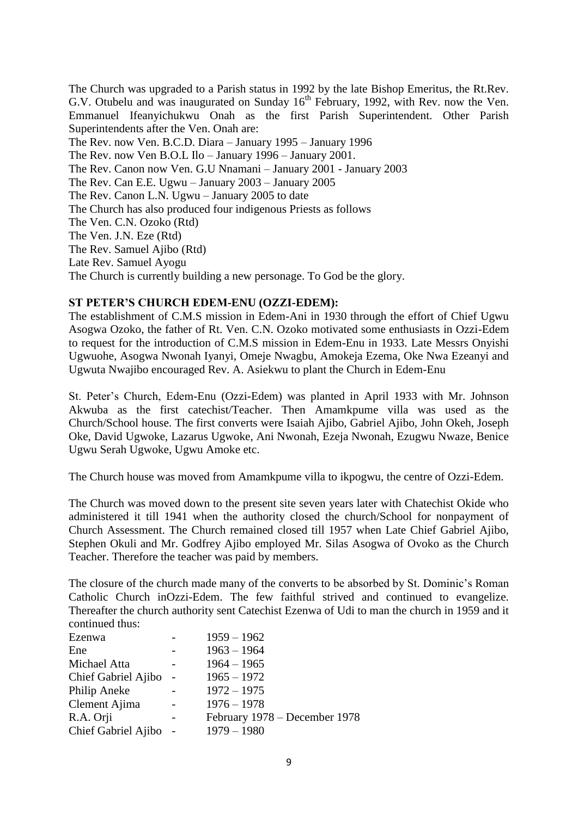The Church was upgraded to a Parish status in 1992 by the late Bishop Emeritus, the Rt.Rev. G.V. Otubelu and was inaugurated on Sunday 16<sup>th</sup> February, 1992, with Rev. now the Ven. Emmanuel Ifeanyichukwu Onah as the first Parish Superintendent. Other Parish Superintendents after the Ven. Onah are: The Rev. now Ven. B.C.D. Diara – January 1995 – January 1996 The Rev. now Ven B.O.L Ilo – January 1996 – January 2001. The Rev. Canon now Ven. G.U Nnamani – January 2001 - January 2003 The Rev. Can E.E. Ugwu – January 2003 – January 2005 The Rev. Canon L.N. Ugwu – January 2005 to date The Church has also produced four indigenous Priests as follows The Ven. C.N. Ozoko (Rtd) The Ven. J.N. Eze (Rtd) The Rev. Samuel Ajibo (Rtd) Late Rev. Samuel Ayogu The Church is currently building a new personage. To God be the glory.

## **ST PETER'S CHURCH EDEM-ENU (OZZI-EDEM):**

The establishment of C.M.S mission in Edem-Ani in 1930 through the effort of Chief Ugwu Asogwa Ozoko, the father of Rt. Ven. C.N. Ozoko motivated some enthusiasts in Ozzi-Edem to request for the introduction of C.M.S mission in Edem-Enu in 1933. Late Messrs Onyishi Ugwuohe, Asogwa Nwonah Iyanyi, Omeje Nwagbu, Amokeja Ezema, Oke Nwa Ezeanyi and Ugwuta Nwajibo encouraged Rev. A. Asiekwu to plant the Church in Edem-Enu

St. Peter"s Church, Edem-Enu (Ozzi-Edem) was planted in April 1933 with Mr. Johnson Akwuba as the first catechist/Teacher. Then Amamkpume villa was used as the Church/School house. The first converts were Isaiah Ajibo, Gabriel Ajibo, John Okeh, Joseph Oke, David Ugwoke, Lazarus Ugwoke, Ani Nwonah, Ezeja Nwonah, Ezugwu Nwaze, Benice Ugwu Serah Ugwoke, Ugwu Amoke etc.

The Church house was moved from Amamkpume villa to ikpogwu, the centre of Ozzi-Edem.

The Church was moved down to the present site seven years later with Chatechist Okide who administered it till 1941 when the authority closed the church/School for nonpayment of Church Assessment. The Church remained closed till 1957 when Late Chief Gabriel Ajibo, Stephen Okuli and Mr. Godfrey Ajibo employed Mr. Silas Asogwa of Ovoko as the Church Teacher. Therefore the teacher was paid by members.

The closure of the church made many of the converts to be absorbed by St. Dominic's Roman Catholic Church inOzzi-Edem. The few faithful strived and continued to evangelize. Thereafter the church authority sent Catechist Ezenwa of Udi to man the church in 1959 and it continued thus:

| Ezenwa              |                          | $1959 - 1962$                 |
|---------------------|--------------------------|-------------------------------|
| Ene                 |                          | $1963 - 1964$                 |
| Michael Atta        |                          | $1964 - 1965$                 |
| Chief Gabriel Ajibo | $\overline{\phantom{a}}$ | $1965 - 1972$                 |
| Philip Aneke        |                          | $1972 - 1975$                 |
| Clement Ajima       |                          | $1976 - 1978$                 |
| R.A. Orji           |                          | February 1978 – December 1978 |
| Chief Gabriel Ajibo |                          | $1979 - 1980$                 |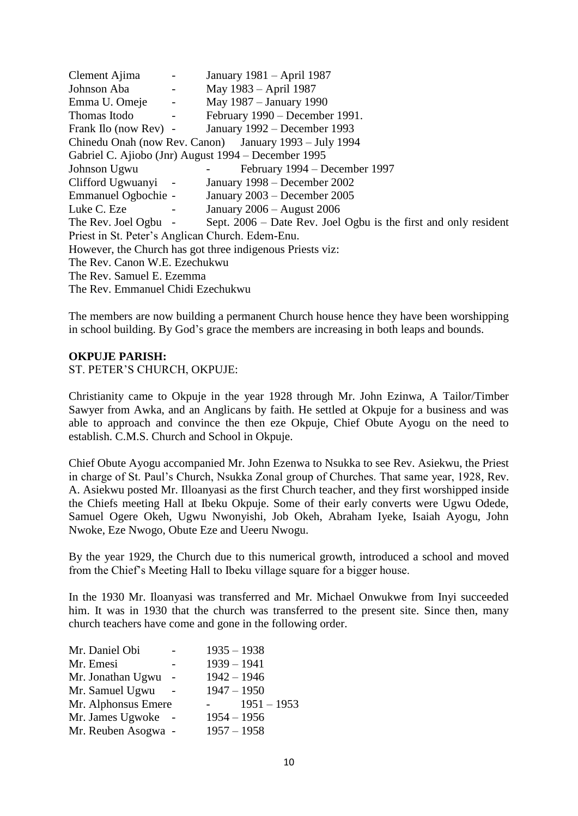Clement Ajima - January 1981 – April 1987 Johnson Aba - May 1983 – April 1987 Emma U. Omeje - May 1987 – January 1990 Thomas Itodo - February 1990 – December 1991. Frank Ilo (now Rev) - January 1992 – December 1993 Chinedu Onah (now Rev. Canon) January 1993 – July 1994 Gabriel C. Ajiobo (Jnr) August 1994 – December 1995 Johnson Ugwu - February 1994 – December 1997 Clifford Ugwuanyi - January 1998 – December 2002 Emmanuel Ogbochie - January 2003 – December 2005 Luke C. Eze - January 2006 – August 2006 The Rev. Joel Ogbu - Sept. 2006 – Date Rev. Joel Ogbu is the first and only resident Priest in St. Peter"s Anglican Church. Edem-Enu. However, the Church has got three indigenous Priests viz: The Rev. Canon W.E. Ezechukwu The Rev. Samuel E. Ezemma The Rev. Emmanuel Chidi Ezechukwu

The members are now building a permanent Church house hence they have been worshipping in school building. By God"s grace the members are increasing in both leaps and bounds.

#### **OKPUJE PARISH:**

ST. PETER"S CHURCH, OKPUJE:

Christianity came to Okpuje in the year 1928 through Mr. John Ezinwa, A Tailor/Timber Sawyer from Awka, and an Anglicans by faith. He settled at Okpuje for a business and was able to approach and convince the then eze Okpuje, Chief Obute Ayogu on the need to establish. C.M.S. Church and School in Okpuje.

Chief Obute Ayogu accompanied Mr. John Ezenwa to Nsukka to see Rev. Asiekwu, the Priest in charge of St. Paul"s Church, Nsukka Zonal group of Churches. That same year, 1928, Rev. A. Asiekwu posted Mr. Illoanyasi as the first Church teacher, and they first worshipped inside the Chiefs meeting Hall at Ibeku Okpuje. Some of their early converts were Ugwu Odede, Samuel Ogere Okeh, Ugwu Nwonyishi, Job Okeh, Abraham Iyeke, Isaiah Ayogu, John Nwoke, Eze Nwogo, Obute Eze and Ueeru Nwogu.

By the year 1929, the Church due to this numerical growth, introduced a school and moved from the Chief"s Meeting Hall to Ibeku village square for a bigger house.

In the 1930 Mr. Iloanyasi was transferred and Mr. Michael Onwukwe from Inyi succeeded him. It was in 1930 that the church was transferred to the present site. Since then, many church teachers have come and gone in the following order.

| Mr. Daniel Obi      |                          | $1935 - 1938$ |               |
|---------------------|--------------------------|---------------|---------------|
| Mr. Emesi           |                          | $1939 - 1941$ |               |
| Mr. Jonathan Ugwu   | $\overline{\phantom{a}}$ | $1942 - 1946$ |               |
| Mr. Samuel Ugwu     |                          | $1947 - 1950$ |               |
| Mr. Alphonsus Emere |                          |               | $1951 - 1953$ |
| Mr. James Ugwoke    |                          | $1954 - 1956$ |               |
| Mr. Reuben Asogwa - |                          | $1957 - 1958$ |               |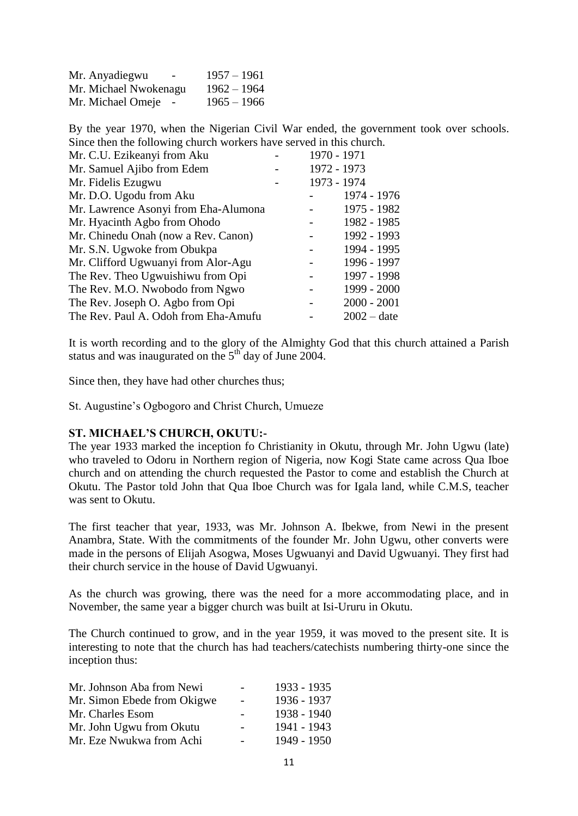| Mr. Anyadiegwu<br>$\overline{\phantom{0}}$ | $1957 - 1961$ |
|--------------------------------------------|---------------|
| Mr. Michael Nwokenagu                      | $1962 - 1964$ |
| Mr. Michael Omeje -                        | $1965 - 1966$ |

By the year 1970, when the Nigerian Civil War ended, the government took over schools. Since then the following church workers have served in this church.

| Mr. C.U. Ezikeanyi from Aku          | 1970 - 1971 |               |
|--------------------------------------|-------------|---------------|
| Mr. Samuel Ajibo from Edem           | 1972 - 1973 |               |
| Mr. Fidelis Ezugwu                   | 1973 - 1974 |               |
| Mr. D.O. Ugodu from Aku              |             | 1974 - 1976   |
| Mr. Lawrence Asonyi from Eha-Alumona |             | 1975 - 1982   |
| Mr. Hyacinth Agbo from Ohodo         |             | 1982 - 1985   |
| Mr. Chinedu Onah (now a Rev. Canon)  |             | 1992 - 1993   |
| Mr. S.N. Ugwoke from Obukpa          |             | 1994 - 1995   |
| Mr. Clifford Ugwuanyi from Alor-Agu  |             | 1996 - 1997   |
| The Rev. Theo Ugwuishiwu from Opi    |             | 1997 - 1998   |
| The Rev. M.O. Nwobodo from Ngwo      |             | 1999 - 2000   |
| The Rev. Joseph O. Agbo from Opi     |             | $2000 - 2001$ |
| The Rev. Paul A. Odoh from Eha-Amufu |             | $2002 - date$ |

It is worth recording and to the glory of the Almighty God that this church attained a Parish status and was inaugurated on the  $5<sup>th</sup>$  day of June 2004.

Since then, they have had other churches thus;

St. Augustine"s Ogbogoro and Christ Church, Umueze

#### **ST. MICHAEL'S CHURCH, OKUTU:-**

The year 1933 marked the inception fo Christianity in Okutu, through Mr. John Ugwu (late) who traveled to Odoru in Northern region of Nigeria, now Kogi State came across Qua Iboe church and on attending the church requested the Pastor to come and establish the Church at Okutu. The Pastor told John that Qua Iboe Church was for Igala land, while C.M.S, teacher was sent to Okutu.

The first teacher that year, 1933, was Mr. Johnson A. Ibekwe, from Newi in the present Anambra, State. With the commitments of the founder Mr. John Ugwu, other converts were made in the persons of Elijah Asogwa, Moses Ugwuanyi and David Ugwuanyi. They first had their church service in the house of David Ugwuanyi.

As the church was growing, there was the need for a more accommodating place, and in November, the same year a bigger church was built at Isi-Ururu in Okutu.

The Church continued to grow, and in the year 1959, it was moved to the present site. It is interesting to note that the church has had teachers/catechists numbering thirty-one since the inception thus:

| Mr. Johnson Aba from Newi   |        | 1933 - 1935 |
|-----------------------------|--------|-------------|
| Mr. Simon Ebede from Okigwe | $\sim$ | 1936 - 1937 |
| Mr. Charles Esom            |        | 1938 - 1940 |
| Mr. John Ugwu from Okutu    |        | 1941 - 1943 |
| Mr. Eze Nwukwa from Achi    |        | 1949 - 1950 |
|                             |        |             |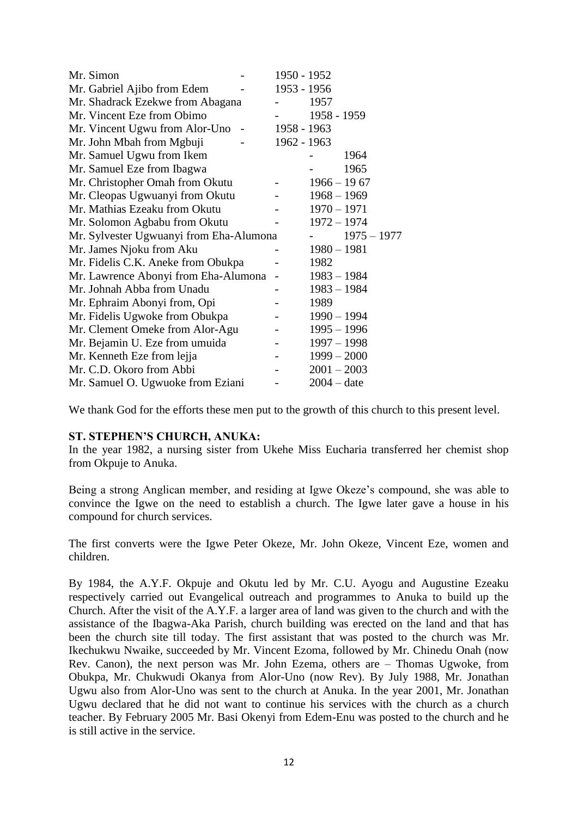| Mr. Simon                               | 1950 - 1952    |               |               |
|-----------------------------------------|----------------|---------------|---------------|
| Mr. Gabriel Ajibo from Edem             | 1953 - 1956    |               |               |
| Mr. Shadrack Ezekwe from Abagana        |                | 1957          |               |
| Mr. Vincent Eze from Obimo              |                | 1958 - 1959   |               |
| Mr. Vincent Ugwu from Alor-Uno          | 1958 - 1963    |               |               |
| Mr. John Mbah from Mgbuji               | 1962 - 1963    |               |               |
| Mr. Samuel Ugwu from Ikem               |                |               | 1964          |
| Mr. Samuel Eze from Ibagwa              |                |               | 1965          |
| Mr. Christopher Omah from Okutu         |                | $1966 - 1967$ |               |
| Mr. Cleopas Ugwuanyi from Okutu         |                | $1968 - 1969$ |               |
| Mr. Mathias Ezeaku from Okutu           |                | $1970 - 1971$ |               |
| Mr. Solomon Agbabu from Okutu           |                | $1972 - 1974$ |               |
| Mr. Sylvester Ugwuanyi from Eha-Alumona |                |               | $1975 - 1977$ |
| Mr. James Njoku from Aku                |                | $1980 - 1981$ |               |
| Mr. Fidelis C.K. Aneke from Obukpa      |                | 1982          |               |
| Mr. Lawrence Abonyi from Eha-Alumona    | $\overline{a}$ | $1983 - 1984$ |               |
| Mr. Johnah Abba from Unadu              |                | $1983 - 1984$ |               |
| Mr. Ephraim Abonyi from, Opi            |                | 1989          |               |
| Mr. Fidelis Ugwoke from Obukpa          |                | $1990 - 1994$ |               |
| Mr. Clement Omeke from Alor-Agu         |                | $1995 - 1996$ |               |
| Mr. Bejamin U. Eze from umuida          |                | $1997 - 1998$ |               |
| Mr. Kenneth Eze from lejja              |                | $1999 - 2000$ |               |
| Mr. C.D. Okoro from Abbi                |                | $2001 - 2003$ |               |
| Mr. Samuel O. Ugwuoke from Eziani       |                | $2004 - date$ |               |

We thank God for the efforts these men put to the growth of this church to this present level.

#### **ST. STEPHEN'S CHURCH, ANUKA:**

In the year 1982, a nursing sister from Ukehe Miss Eucharia transferred her chemist shop from Okpuje to Anuka.

Being a strong Anglican member, and residing at Igwe Okeze"s compound, she was able to convince the Igwe on the need to establish a church. The Igwe later gave a house in his compound for church services.

The first converts were the Igwe Peter Okeze, Mr. John Okeze, Vincent Eze, women and children.

By 1984, the A.Y.F. Okpuje and Okutu led by Mr. C.U. Ayogu and Augustine Ezeaku respectively carried out Evangelical outreach and programmes to Anuka to build up the Church. After the visit of the A.Y.F. a larger area of land was given to the church and with the assistance of the Ibagwa-Aka Parish, church building was erected on the land and that has been the church site till today. The first assistant that was posted to the church was Mr. Ikechukwu Nwaike, succeeded by Mr. Vincent Ezoma, followed by Mr. Chinedu Onah (now Rev. Canon), the next person was Mr. John Ezema, others are – Thomas Ugwoke, from Obukpa, Mr. Chukwudi Okanya from Alor-Uno (now Rev). By July 1988, Mr. Jonathan Ugwu also from Alor-Uno was sent to the church at Anuka. In the year 2001, Mr. Jonathan Ugwu declared that he did not want to continue his services with the church as a church teacher. By February 2005 Mr. Basi Okenyi from Edem-Enu was posted to the church and he is still active in the service.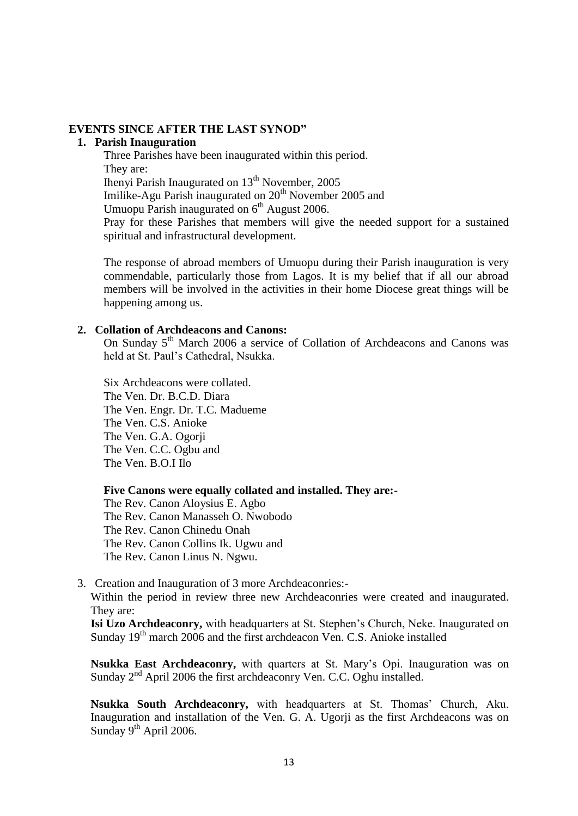#### **EVENTS SINCE AFTER THE LAST SYNOD"**

#### **1. Parish Inauguration**

Three Parishes have been inaugurated within this period. They are: Ihenyi Parish Inaugurated on 13<sup>th</sup> November, 2005 Imilike-Agu Parish inaugurated on  $20<sup>th</sup>$  November 2005 and Umuopu Parish inaugurated on  $6<sup>th</sup>$  August 2006. Pray for these Parishes that members will give the needed support for a sustained spiritual and infrastructural development.

The response of abroad members of Umuopu during their Parish inauguration is very commendable, particularly those from Lagos. It is my belief that if all our abroad members will be involved in the activities in their home Diocese great things will be happening among us.

#### **2. Collation of Archdeacons and Canons:**

On Sunday  $5<sup>th</sup>$  March 2006 a service of Collation of Archdeacons and Canons was held at St. Paul"s Cathedral, Nsukka.

Six Archdeacons were collated. The Ven. Dr. B.C.D. Diara The Ven. Engr. Dr. T.C. Madueme The Ven. C.S. Anioke The Ven. G.A. Ogorji The Ven. C.C. Ogbu and The Ven. B.O.I Ilo

**Five Canons were equally collated and installed. They are:-**

The Rev. Canon Aloysius E. Agbo The Rev. Canon Manasseh O. Nwobodo The Rev. Canon Chinedu Onah The Rev. Canon Collins Ik. Ugwu and The Rev. Canon Linus N. Ngwu.

3. Creation and Inauguration of 3 more Archdeaconries:- Within the period in review three new Archdeaconries were created and inaugurated. They are:

**Isi Uzo Archdeaconry,** with headquarters at St. Stephen"s Church, Neke. Inaugurated on Sunday  $19<sup>th</sup>$  march 2006 and the first archdeacon Ven. C.S. Anioke installed

**Nsukka East Archdeaconry,** with quarters at St. Mary"s Opi. Inauguration was on Sunday  $2<sup>nd</sup>$  April 2006 the first archdeaconry Ven. C.C. Oghu installed.

**Nsukka South Archdeaconry,** with headquarters at St. Thomas" Church, Aku. Inauguration and installation of the Ven. G. A. Ugorji as the first Archdeacons was on Sunday  $9<sup>th</sup>$  April 2006.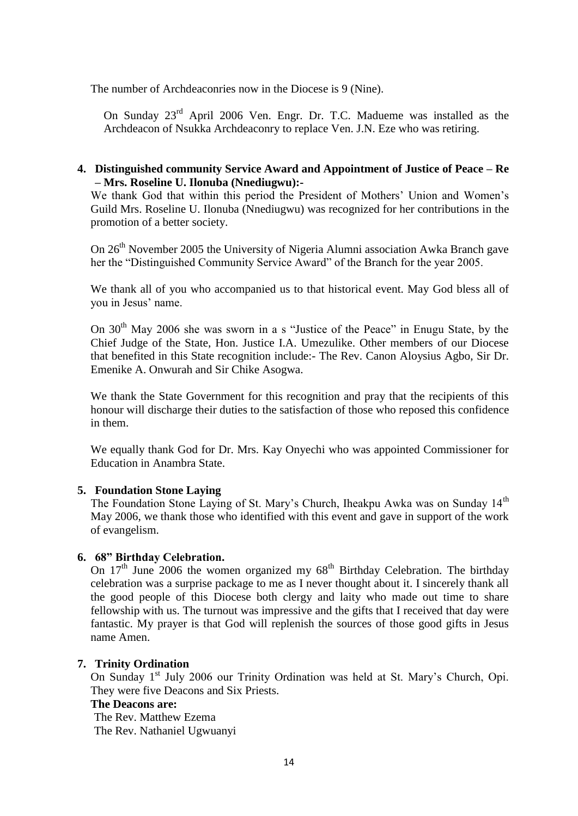The number of Archdeaconries now in the Diocese is 9 (Nine).

On Sunday 23rd April 2006 Ven. Engr. Dr. T.C. Madueme was installed as the Archdeacon of Nsukka Archdeaconry to replace Ven. J.N. Eze who was retiring.

## **4. Distinguished community Service Award and Appointment of Justice of Peace – Re – Mrs. Roseline U. Ilonuba (Nnediugwu):-**

We thank God that within this period the President of Mothers' Union and Women's Guild Mrs. Roseline U. Ilonuba (Nnediugwu) was recognized for her contributions in the promotion of a better society.

On 26<sup>th</sup> November 2005 the University of Nigeria Alumni association Awka Branch gave her the "Distinguished Community Service Award" of the Branch for the year 2005.

We thank all of you who accompanied us to that historical event. May God bless all of you in Jesus" name.

On 30<sup>th</sup> May 2006 she was sworn in a s "Justice of the Peace" in Enugu State, by the Chief Judge of the State, Hon. Justice I.A. Umezulike. Other members of our Diocese that benefited in this State recognition include:- The Rev. Canon Aloysius Agbo, Sir Dr. Emenike A. Onwurah and Sir Chike Asogwa.

We thank the State Government for this recognition and pray that the recipients of this honour will discharge their duties to the satisfaction of those who reposed this confidence in them.

We equally thank God for Dr. Mrs. Kay Onyechi who was appointed Commissioner for Education in Anambra State.

#### **5. Foundation Stone Laying**

The Foundation Stone Laying of St. Mary's Church, Iheakpu Awka was on Sunday 14<sup>th</sup> May 2006, we thank those who identified with this event and gave in support of the work of evangelism.

#### **6. 68" Birthday Celebration.**

On 17<sup>th</sup> June 2006 the women organized my 68<sup>th</sup> Birthday Celebration. The birthday celebration was a surprise package to me as I never thought about it. I sincerely thank all the good people of this Diocese both clergy and laity who made out time to share fellowship with us. The turnout was impressive and the gifts that I received that day were fantastic. My prayer is that God will replenish the sources of those good gifts in Jesus name Amen.

#### **7. Trinity Ordination**

On Sunday 1<sup>st</sup> July 2006 our Trinity Ordination was held at St. Mary's Church, Opi. They were five Deacons and Six Priests.

#### **The Deacons are:**

The Rev. Matthew Ezema The Rev. Nathaniel Ugwuanyi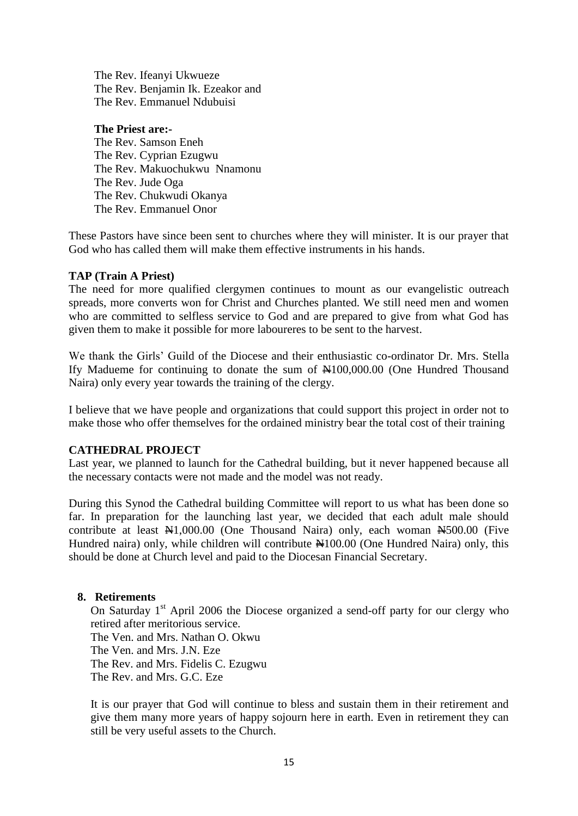The Rev. Ifeanyi Ukwueze The Rev. Benjamin Ik. Ezeakor and The Rev. Emmanuel Ndubuisi

#### **The Priest are:-**

The Rev. Samson Eneh The Rev. Cyprian Ezugwu The Rev. Makuochukwu Nnamonu The Rev. Jude Oga The Rev. Chukwudi Okanya The Rev. Emmanuel Onor

These Pastors have since been sent to churches where they will minister. It is our prayer that God who has called them will make them effective instruments in his hands.

#### **TAP (Train A Priest)**

The need for more qualified clergymen continues to mount as our evangelistic outreach spreads, more converts won for Christ and Churches planted. We still need men and women who are committed to selfless service to God and are prepared to give from what God has given them to make it possible for more laboureres to be sent to the harvest.

We thank the Girls' Guild of the Diocese and their enthusiastic co-ordinator Dr. Mrs. Stella If y Madueme for continuing to donate the sum of  $\text{\#100,000.00}$  (One Hundred Thousand Naira) only every year towards the training of the clergy.

I believe that we have people and organizations that could support this project in order not to make those who offer themselves for the ordained ministry bear the total cost of their training

#### **CATHEDRAL PROJECT**

Last year, we planned to launch for the Cathedral building, but it never happened because all the necessary contacts were not made and the model was not ready.

During this Synod the Cathedral building Committee will report to us what has been done so far. In preparation for the launching last year, we decided that each adult male should contribute at least  $\mathbb{N}1,000.00$  (One Thousand Naira) only, each woman  $\mathbb{N}500.00$  (Five Hundred naira) only, while children will contribute  $\frac{100.00}{100}$  (One Hundred Naira) only, this should be done at Church level and paid to the Diocesan Financial Secretary.

# **8. Retirements**

On Saturday  $1<sup>st</sup>$  April 2006 the Diocese organized a send-off party for our clergy who retired after meritorious service. The Ven. and Mrs. Nathan O. Okwu The Ven. and Mrs. J.N. Eze The Rev. and Mrs. Fidelis C. Ezugwu The Rev. and Mrs. G.C. Eze

It is our prayer that God will continue to bless and sustain them in their retirement and give them many more years of happy sojourn here in earth. Even in retirement they can still be very useful assets to the Church.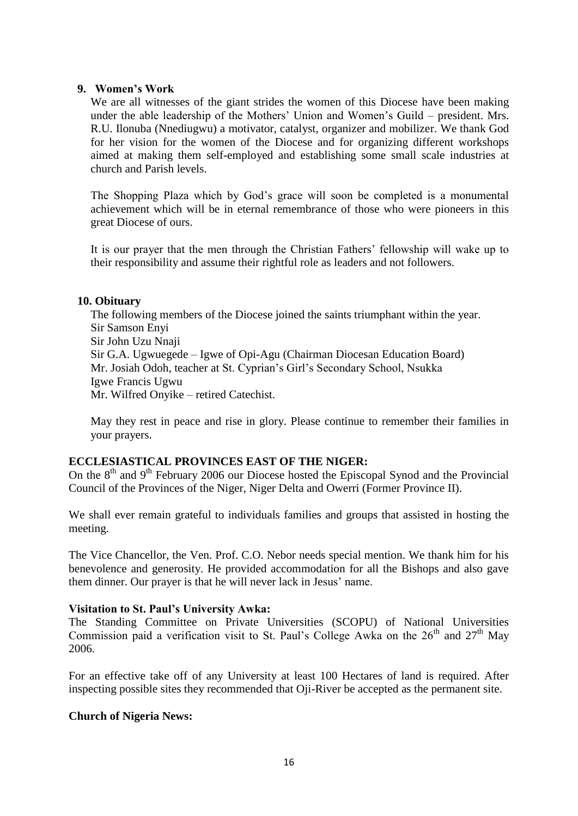#### **9. Women's Work**

We are all witnesses of the giant strides the women of this Diocese have been making under the able leadership of the Mothers" Union and Women"s Guild – president. Mrs. R.U. Ilonuba (Nnediugwu) a motivator, catalyst, organizer and mobilizer. We thank God for her vision for the women of the Diocese and for organizing different workshops aimed at making them self-employed and establishing some small scale industries at church and Parish levels.

The Shopping Plaza which by God's grace will soon be completed is a monumental achievement which will be in eternal remembrance of those who were pioneers in this great Diocese of ours.

It is our prayer that the men through the Christian Fathers' fellowship will wake up to their responsibility and assume their rightful role as leaders and not followers.

#### **10. Obituary**

The following members of the Diocese joined the saints triumphant within the year. Sir Samson Enyi Sir John Uzu Nnaji Sir G.A. Ugwuegede – Igwe of Opi-Agu (Chairman Diocesan Education Board) Mr. Josiah Odoh, teacher at St. Cyprian"s Girl"s Secondary School, Nsukka Igwe Francis Ugwu Mr. Wilfred Onyike – retired Catechist.

May they rest in peace and rise in glory. Please continue to remember their families in your prayers.

# **ECCLESIASTICAL PROVINCES EAST OF THE NIGER:**

On the  $8<sup>th</sup>$  and  $9<sup>th</sup>$  February 2006 our Diocese hosted the Episcopal Synod and the Provincial Council of the Provinces of the Niger, Niger Delta and Owerri (Former Province II).

We shall ever remain grateful to individuals families and groups that assisted in hosting the meeting.

The Vice Chancellor, the Ven. Prof. C.O. Nebor needs special mention. We thank him for his benevolence and generosity. He provided accommodation for all the Bishops and also gave them dinner. Our prayer is that he will never lack in Jesus' name.

# **Visitation to St. Paul's University Awka:**

The Standing Committee on Private Universities (SCOPU) of National Universities Commission paid a verification visit to St. Paul's College Awka on the  $26<sup>th</sup>$  and  $27<sup>th</sup>$  May 2006.

For an effective take off of any University at least 100 Hectares of land is required. After inspecting possible sites they recommended that Oji-River be accepted as the permanent site.

# **Church of Nigeria News:**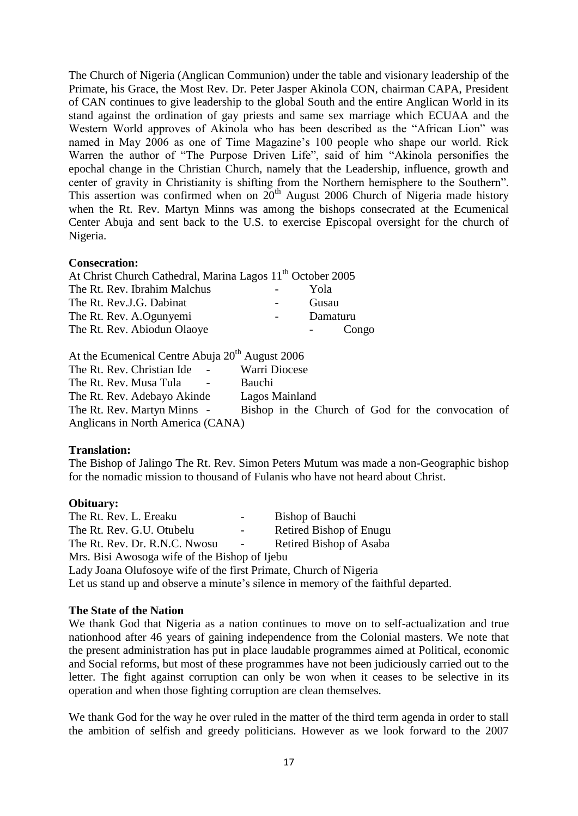The Church of Nigeria (Anglican Communion) under the table and visionary leadership of the Primate, his Grace, the Most Rev. Dr. Peter Jasper Akinola CON, chairman CAPA, President of CAN continues to give leadership to the global South and the entire Anglican World in its stand against the ordination of gay priests and same sex marriage which ECUAA and the Western World approves of Akinola who has been described as the "African Lion" was named in May 2006 as one of Time Magazine's 100 people who shape our world. Rick Warren the author of "The Purpose Driven Life", said of him "Akinola personifies the epochal change in the Christian Church, namely that the Leadership, influence, growth and center of gravity in Christianity is shifting from the Northern hemisphere to the Southern". This assertion was confirmed when on  $20<sup>th</sup>$  August 2006 Church of Nigeria made history when the Rt. Rev. Martyn Minns was among the bishops consecrated at the Ecumenical Center Abuja and sent back to the U.S. to exercise Episcopal oversight for the church of Nigeria.

#### **Consecration:**

| At Christ Church Cathedral, Marina Lagos 11 <sup>th</sup> October 2005 |          |
|------------------------------------------------------------------------|----------|
| The Rt. Rev. Ibrahim Malchus                                           | Yola     |
| The Rt. Rev.J.G. Dabinat                                               | Gusau    |
| The Rt. Rev. A.Ogunyemi                                                | Damaturu |
| The Rt. Rev. Abiodun Olaoye                                            | Congo    |

At the Ecumenical Centre Abuja  $20<sup>th</sup>$  August 2006

The Rt. Rev. Christian Ide - Warri Diocese The Rt. Rev. Musa Tula - Bauchi The Rt. Rev. Adebayo Akinde Lagos Mainland The Rt. Rev. Martyn Minns - Bishop in the Church of God for the convocation of Anglicans in North America (CANA)

#### **Translation:**

The Bishop of Jalingo The Rt. Rev. Simon Peters Mutum was made a non-Geographic bishop for the nomadic mission to thousand of Fulanis who have not heard about Christ.

#### **Obituary:**

The Rt. Rev. L. Ereaku - Bishop of Bauchi The Rt. Rev. G.U. Otubelu - Retired Bishop of Enugu The Rt. Rev. Dr. R.N.C. Nwosu - Retired Bishop of Asaba

Mrs. Bisi Awosoga wife of the Bishop of Ijebu

Lady Joana Olufosoye wife of the first Primate, Church of Nigeria Let us stand up and observe a minute's silence in memory of the faithful departed.

# **The State of the Nation**

We thank God that Nigeria as a nation continues to move on to self-actualization and true nationhood after 46 years of gaining independence from the Colonial masters. We note that the present administration has put in place laudable programmes aimed at Political, economic and Social reforms, but most of these programmes have not been judiciously carried out to the letter. The fight against corruption can only be won when it ceases to be selective in its operation and when those fighting corruption are clean themselves.

We thank God for the way he over ruled in the matter of the third term agenda in order to stall the ambition of selfish and greedy politicians. However as we look forward to the 2007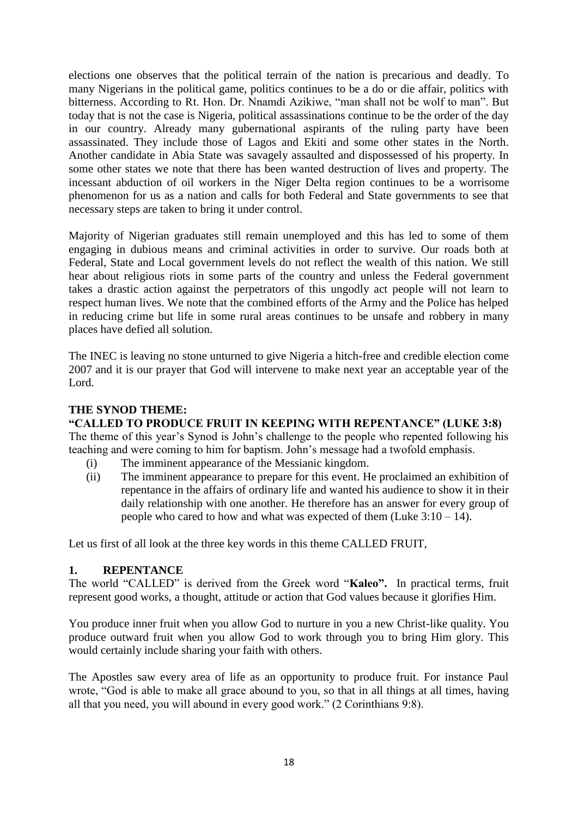elections one observes that the political terrain of the nation is precarious and deadly. To many Nigerians in the political game, politics continues to be a do or die affair, politics with bitterness. According to Rt. Hon. Dr. Nnamdi Azikiwe, "man shall not be wolf to man". But today that is not the case is Nigeria, political assassinations continue to be the order of the day in our country. Already many gubernational aspirants of the ruling party have been assassinated. They include those of Lagos and Ekiti and some other states in the North. Another candidate in Abia State was savagely assaulted and dispossessed of his property. In some other states we note that there has been wanted destruction of lives and property. The incessant abduction of oil workers in the Niger Delta region continues to be a worrisome phenomenon for us as a nation and calls for both Federal and State governments to see that necessary steps are taken to bring it under control.

Majority of Nigerian graduates still remain unemployed and this has led to some of them engaging in dubious means and criminal activities in order to survive. Our roads both at Federal, State and Local government levels do not reflect the wealth of this nation. We still hear about religious riots in some parts of the country and unless the Federal government takes a drastic action against the perpetrators of this ungodly act people will not learn to respect human lives. We note that the combined efforts of the Army and the Police has helped in reducing crime but life in some rural areas continues to be unsafe and robbery in many places have defied all solution.

The INEC is leaving no stone unturned to give Nigeria a hitch-free and credible election come 2007 and it is our prayer that God will intervene to make next year an acceptable year of the Lord.

### **THE SYNOD THEME:**

#### **"CALLED TO PRODUCE FRUIT IN KEEPING WITH REPENTANCE" (LUKE 3:8)**

The theme of this year's Synod is John's challenge to the people who repented following his teaching and were coming to him for baptism. John"s message had a twofold emphasis.

- (i) The imminent appearance of the Messianic kingdom.
- (ii) The imminent appearance to prepare for this event. He proclaimed an exhibition of repentance in the affairs of ordinary life and wanted his audience to show it in their daily relationship with one another. He therefore has an answer for every group of people who cared to how and what was expected of them (Luke  $3:10-14$ ).

Let us first of all look at the three key words in this theme CALLED FRUIT,

#### **1. REPENTANCE**

The world "CALLED" is derived from the Greek word "**Kaleo".** In practical terms, fruit represent good works, a thought, attitude or action that God values because it glorifies Him.

You produce inner fruit when you allow God to nurture in you a new Christ-like quality. You produce outward fruit when you allow God to work through you to bring Him glory. This would certainly include sharing your faith with others.

The Apostles saw every area of life as an opportunity to produce fruit. For instance Paul wrote, "God is able to make all grace abound to you, so that in all things at all times, having all that you need, you will abound in every good work." (2 Corinthians 9:8).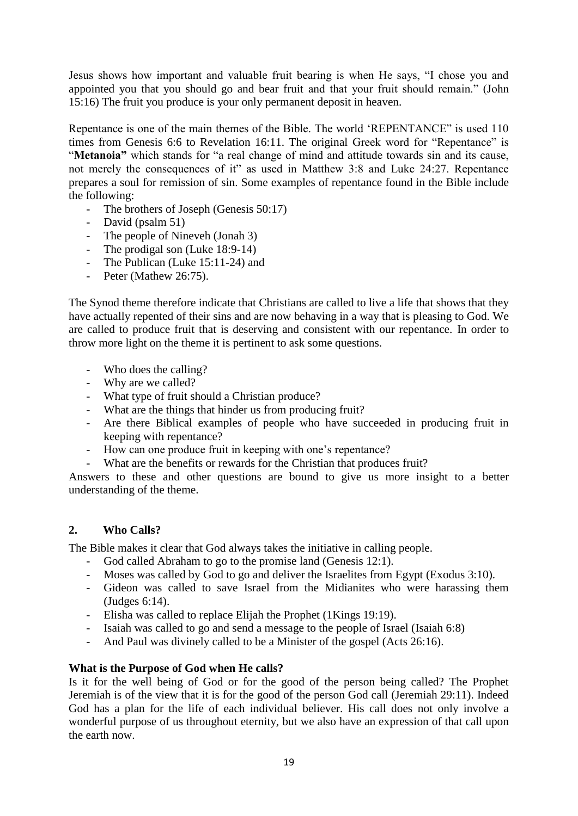Jesus shows how important and valuable fruit bearing is when He says, "I chose you and appointed you that you should go and bear fruit and that your fruit should remain." (John 15:16) The fruit you produce is your only permanent deposit in heaven.

Repentance is one of the main themes of the Bible. The world "REPENTANCE" is used 110 times from Genesis 6:6 to Revelation 16:11. The original Greek word for "Repentance" is "**Metanoia"** which stands for "a real change of mind and attitude towards sin and its cause, not merely the consequences of it" as used in Matthew 3:8 and Luke 24:27. Repentance prepares a soul for remission of sin. Some examples of repentance found in the Bible include the following:

- The brothers of Joseph (Genesis 50:17)
- David (psalm 51)
- The people of Nineveh (Jonah 3)
- The prodigal son (Luke 18:9-14)
- The Publican (Luke 15:11-24) and
- Peter (Mathew 26:75).

The Synod theme therefore indicate that Christians are called to live a life that shows that they have actually repented of their sins and are now behaving in a way that is pleasing to God. We are called to produce fruit that is deserving and consistent with our repentance. In order to throw more light on the theme it is pertinent to ask some questions.

- Who does the calling?
- Why are we called?
- What type of fruit should a Christian produce?
- What are the things that hinder us from producing fruit?
- Are there Biblical examples of people who have succeeded in producing fruit in keeping with repentance?
- How can one produce fruit in keeping with one's repentance?
- What are the benefits or rewards for the Christian that produces fruit?

Answers to these and other questions are bound to give us more insight to a better understanding of the theme.

# **2. Who Calls?**

The Bible makes it clear that God always takes the initiative in calling people.

- God called Abraham to go to the promise land (Genesis 12:1).
- Moses was called by God to go and deliver the Israelites from Egypt (Exodus 3:10).
- Gideon was called to save Israel from the Midianites who were harassing them (Judges 6:14).
- Elisha was called to replace Elijah the Prophet (1Kings 19:19).
- Isaiah was called to go and send a message to the people of Israel (Isaiah 6:8)
- And Paul was divinely called to be a Minister of the gospel (Acts 26:16).

#### **What is the Purpose of God when He calls?**

Is it for the well being of God or for the good of the person being called? The Prophet Jeremiah is of the view that it is for the good of the person God call (Jeremiah 29:11). Indeed God has a plan for the life of each individual believer. His call does not only involve a wonderful purpose of us throughout eternity, but we also have an expression of that call upon the earth now.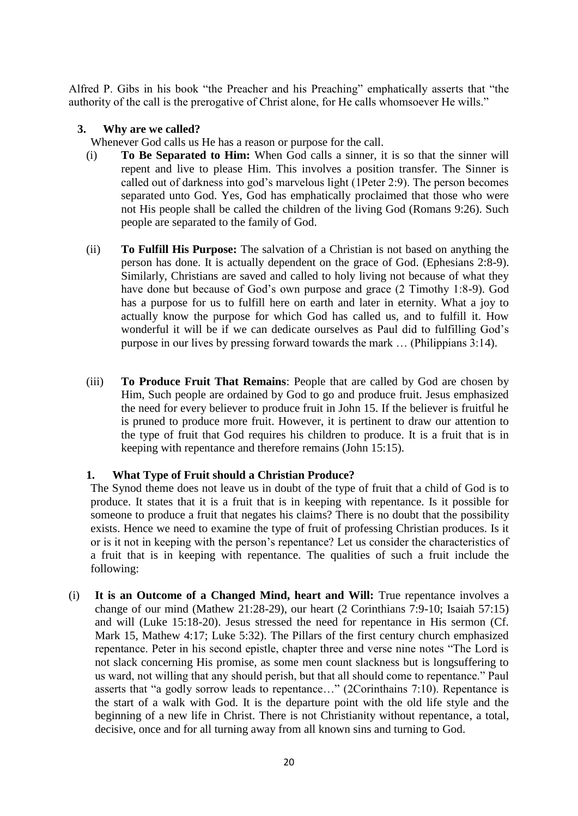Alfred P. Gibs in his book "the Preacher and his Preaching" emphatically asserts that "the authority of the call is the prerogative of Christ alone, for He calls whomsoever He wills."

## **3. Why are we called?**

Whenever God calls us He has a reason or purpose for the call.

- (i) **To Be Separated to Him:** When God calls a sinner, it is so that the sinner will repent and live to please Him. This involves a position transfer. The Sinner is called out of darkness into god"s marvelous light (1Peter 2:9). The person becomes separated unto God. Yes, God has emphatically proclaimed that those who were not His people shall be called the children of the living God (Romans 9:26). Such people are separated to the family of God.
- (ii) **To Fulfill His Purpose:** The salvation of a Christian is not based on anything the person has done. It is actually dependent on the grace of God. (Ephesians 2:8-9). Similarly, Christians are saved and called to holy living not because of what they have done but because of God's own purpose and grace (2 Timothy 1:8-9). God has a purpose for us to fulfill here on earth and later in eternity. What a joy to actually know the purpose for which God has called us, and to fulfill it. How wonderful it will be if we can dedicate ourselves as Paul did to fulfilling God"s purpose in our lives by pressing forward towards the mark … (Philippians 3:14).
- (iii) **To Produce Fruit That Remains**: People that are called by God are chosen by Him, Such people are ordained by God to go and produce fruit. Jesus emphasized the need for every believer to produce fruit in John 15. If the believer is fruitful he is pruned to produce more fruit. However, it is pertinent to draw our attention to the type of fruit that God requires his children to produce. It is a fruit that is in keeping with repentance and therefore remains (John 15:15).

# **1. What Type of Fruit should a Christian Produce?**

The Synod theme does not leave us in doubt of the type of fruit that a child of God is to produce. It states that it is a fruit that is in keeping with repentance. Is it possible for someone to produce a fruit that negates his claims? There is no doubt that the possibility exists. Hence we need to examine the type of fruit of professing Christian produces. Is it or is it not in keeping with the person"s repentance? Let us consider the characteristics of a fruit that is in keeping with repentance. The qualities of such a fruit include the following:

(i) **It is an Outcome of a Changed Mind, heart and Will:** True repentance involves a change of our mind (Mathew 21:28-29), our heart (2 Corinthians 7:9-10; Isaiah 57:15) and will (Luke 15:18-20). Jesus stressed the need for repentance in His sermon (Cf. Mark 15, Mathew 4:17; Luke 5:32). The Pillars of the first century church emphasized repentance. Peter in his second epistle, chapter three and verse nine notes "The Lord is not slack concerning His promise, as some men count slackness but is longsuffering to us ward, not willing that any should perish, but that all should come to repentance." Paul asserts that "a godly sorrow leads to repentance…" (2Corinthains 7:10). Repentance is the start of a walk with God. It is the departure point with the old life style and the beginning of a new life in Christ. There is not Christianity without repentance, a total, decisive, once and for all turning away from all known sins and turning to God.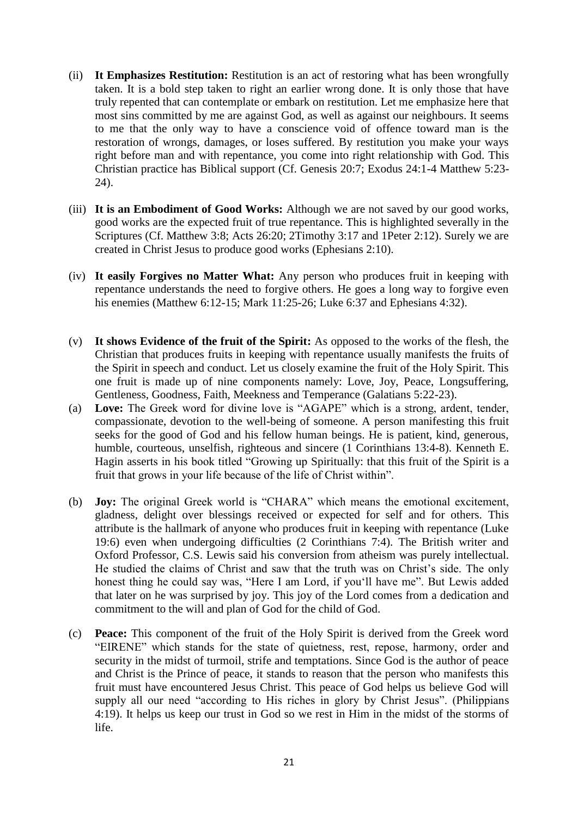- (ii) **It Emphasizes Restitution:** Restitution is an act of restoring what has been wrongfully taken. It is a bold step taken to right an earlier wrong done. It is only those that have truly repented that can contemplate or embark on restitution. Let me emphasize here that most sins committed by me are against God, as well as against our neighbours. It seems to me that the only way to have a conscience void of offence toward man is the restoration of wrongs, damages, or loses suffered. By restitution you make your ways right before man and with repentance, you come into right relationship with God. This Christian practice has Biblical support (Cf. Genesis 20:7; Exodus 24:1-4 Matthew 5:23- 24).
- (iii) **It is an Embodiment of Good Works:** Although we are not saved by our good works, good works are the expected fruit of true repentance. This is highlighted severally in the Scriptures (Cf. Matthew 3:8; Acts 26:20; 2Timothy 3:17 and 1Peter 2:12). Surely we are created in Christ Jesus to produce good works (Ephesians 2:10).
- (iv) **It easily Forgives no Matter What:** Any person who produces fruit in keeping with repentance understands the need to forgive others. He goes a long way to forgive even his enemies (Matthew 6:12-15; Mark 11:25-26; Luke 6:37 and Ephesians 4:32).
- (v) **It shows Evidence of the fruit of the Spirit:** As opposed to the works of the flesh, the Christian that produces fruits in keeping with repentance usually manifests the fruits of the Spirit in speech and conduct. Let us closely examine the fruit of the Holy Spirit. This one fruit is made up of nine components namely: Love, Joy, Peace, Longsuffering, Gentleness, Goodness, Faith, Meekness and Temperance (Galatians 5:22-23).
- (a) **Love:** The Greek word for divine love is "AGAPE" which is a strong, ardent, tender, compassionate, devotion to the well-being of someone. A person manifesting this fruit seeks for the good of God and his fellow human beings. He is patient, kind, generous, humble, courteous, unselfish, righteous and sincere (1 Corinthians 13:4-8). Kenneth E. Hagin asserts in his book titled "Growing up Spiritually: that this fruit of the Spirit is a fruit that grows in your life because of the life of Christ within".
- (b) **Joy:** The original Greek world is "CHARA" which means the emotional excitement, gladness, delight over blessings received or expected for self and for others. This attribute is the hallmark of anyone who produces fruit in keeping with repentance (Luke 19:6) even when undergoing difficulties (2 Corinthians 7:4). The British writer and Oxford Professor, C.S. Lewis said his conversion from atheism was purely intellectual. He studied the claims of Christ and saw that the truth was on Christ's side. The only honest thing he could say was, "Here I am Lord, if you"ll have me". But Lewis added that later on he was surprised by joy. This joy of the Lord comes from a dedication and commitment to the will and plan of God for the child of God.
- (c) **Peace:** This component of the fruit of the Holy Spirit is derived from the Greek word "EIRENE" which stands for the state of quietness, rest, repose, harmony, order and security in the midst of turmoil, strife and temptations. Since God is the author of peace and Christ is the Prince of peace, it stands to reason that the person who manifests this fruit must have encountered Jesus Christ. This peace of God helps us believe God will supply all our need "according to His riches in glory by Christ Jesus". (Philippians 4:19). It helps us keep our trust in God so we rest in Him in the midst of the storms of life.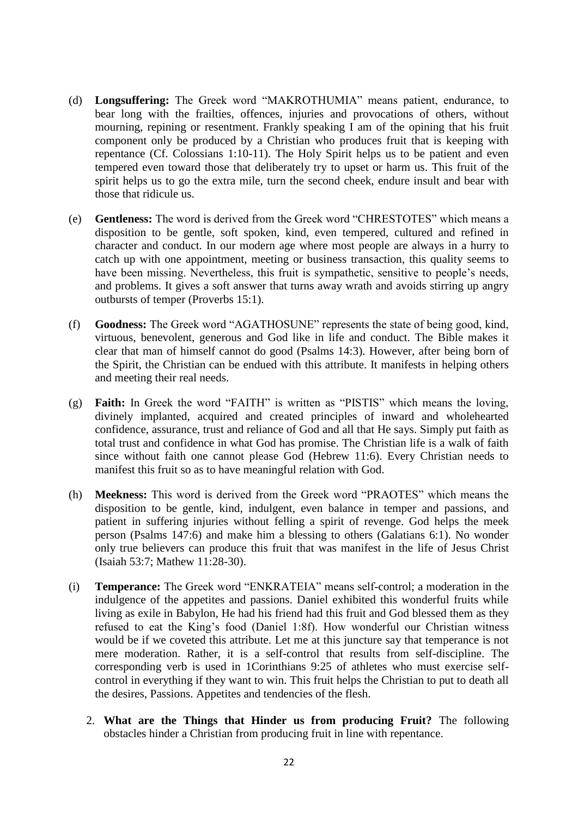- (d) **Longsuffering:** The Greek word "MAKROTHUMIA" means patient, endurance, to bear long with the frailties, offences, injuries and provocations of others, without mourning, repining or resentment. Frankly speaking I am of the opining that his fruit component only be produced by a Christian who produces fruit that is keeping with repentance (Cf. Colossians 1:10-11). The Holy Spirit helps us to be patient and even tempered even toward those that deliberately try to upset or harm us. This fruit of the spirit helps us to go the extra mile, turn the second cheek, endure insult and bear with those that ridicule us.
- (e) **Gentleness:** The word is derived from the Greek word "CHRESTOTES" which means a disposition to be gentle, soft spoken, kind, even tempered, cultured and refined in character and conduct. In our modern age where most people are always in a hurry to catch up with one appointment, meeting or business transaction, this quality seems to have been missing. Nevertheless, this fruit is sympathetic, sensitive to people's needs, and problems. It gives a soft answer that turns away wrath and avoids stirring up angry outbursts of temper (Proverbs 15:1).
- (f) **Goodness:** The Greek word "AGATHOSUNE" represents the state of being good, kind, virtuous, benevolent, generous and God like in life and conduct. The Bible makes it clear that man of himself cannot do good (Psalms 14:3). However, after being born of the Spirit, the Christian can be endued with this attribute. It manifests in helping others and meeting their real needs.
- (g) **Faith:** In Greek the word "FAITH" is written as "PISTIS" which means the loving, divinely implanted, acquired and created principles of inward and wholehearted confidence, assurance, trust and reliance of God and all that He says. Simply put faith as total trust and confidence in what God has promise. The Christian life is a walk of faith since without faith one cannot please God (Hebrew 11:6). Every Christian needs to manifest this fruit so as to have meaningful relation with God.
- (h) **Meekness:** This word is derived from the Greek word "PRAOTES" which means the disposition to be gentle, kind, indulgent, even balance in temper and passions, and patient in suffering injuries without felling a spirit of revenge. God helps the meek person (Psalms 147:6) and make him a blessing to others (Galatians 6:1). No wonder only true believers can produce this fruit that was manifest in the life of Jesus Christ (Isaiah 53:7; Mathew 11:28-30).
- (i) **Temperance:** The Greek word "ENKRATEIA" means self-control; a moderation in the indulgence of the appetites and passions. Daniel exhibited this wonderful fruits while living as exile in Babylon, He had his friend had this fruit and God blessed them as they refused to eat the King"s food (Daniel 1:8f). How wonderful our Christian witness would be if we coveted this attribute. Let me at this juncture say that temperance is not mere moderation. Rather, it is a self-control that results from self-discipline. The corresponding verb is used in 1Corinthians 9:25 of athletes who must exercise selfcontrol in everything if they want to win. This fruit helps the Christian to put to death all the desires, Passions. Appetites and tendencies of the flesh.
	- 2. **What are the Things that Hinder us from producing Fruit?** The following obstacles hinder a Christian from producing fruit in line with repentance.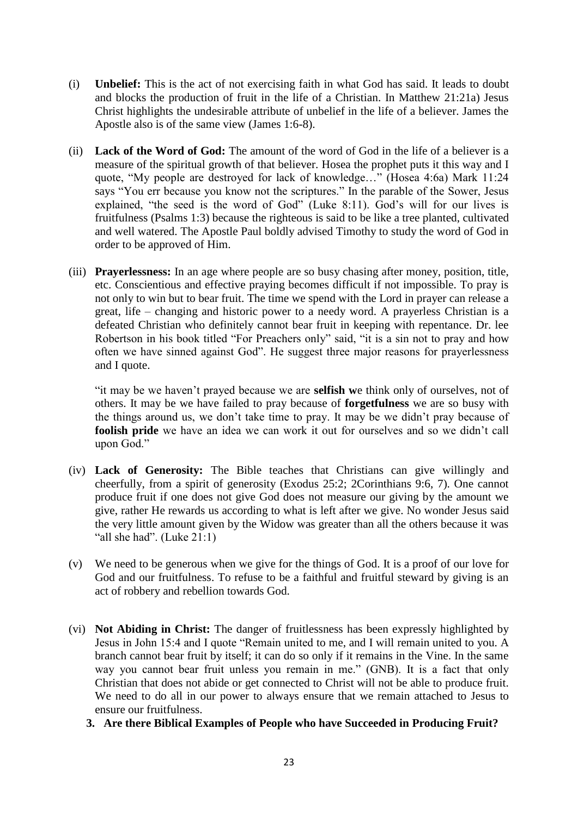- (i) **Unbelief:** This is the act of not exercising faith in what God has said. It leads to doubt and blocks the production of fruit in the life of a Christian. In Matthew 21:21a) Jesus Christ highlights the undesirable attribute of unbelief in the life of a believer. James the Apostle also is of the same view (James 1:6-8).
- (ii) **Lack of the Word of God:** The amount of the word of God in the life of a believer is a measure of the spiritual growth of that believer. Hosea the prophet puts it this way and I quote, "My people are destroyed for lack of knowledge…" (Hosea 4:6a) Mark 11:24 says "You err because you know not the scriptures." In the parable of the Sower, Jesus explained, "the seed is the word of God" (Luke 8:11). God's will for our lives is fruitfulness (Psalms 1:3) because the righteous is said to be like a tree planted, cultivated and well watered. The Apostle Paul boldly advised Timothy to study the word of God in order to be approved of Him.
- (iii) **Prayerlessness:** In an age where people are so busy chasing after money, position, title, etc. Conscientious and effective praying becomes difficult if not impossible. To pray is not only to win but to bear fruit. The time we spend with the Lord in prayer can release a great, life – changing and historic power to a needy word. A prayerless Christian is a defeated Christian who definitely cannot bear fruit in keeping with repentance. Dr. lee Robertson in his book titled "For Preachers only" said, "it is a sin not to pray and how often we have sinned against God". He suggest three major reasons for prayerlessness and I quote.

"it may be we haven"t prayed because we are **selfish w**e think only of ourselves, not of others. It may be we have failed to pray because of **forgetfulness** we are so busy with the things around us, we don"t take time to pray. It may be we didn"t pray because of **foolish pride** we have an idea we can work it out for ourselves and so we didn"t call upon God."

- (iv) **Lack of Generosity:** The Bible teaches that Christians can give willingly and cheerfully, from a spirit of generosity (Exodus 25:2; 2Corinthians 9:6, 7). One cannot produce fruit if one does not give God does not measure our giving by the amount we give, rather He rewards us according to what is left after we give. No wonder Jesus said the very little amount given by the Widow was greater than all the others because it was "all she had". (Luke  $21:1$ )
- (v) We need to be generous when we give for the things of God. It is a proof of our love for God and our fruitfulness. To refuse to be a faithful and fruitful steward by giving is an act of robbery and rebellion towards God.
- (vi) **Not Abiding in Christ:** The danger of fruitlessness has been expressly highlighted by Jesus in John 15:4 and I quote "Remain united to me, and I will remain united to you. A branch cannot bear fruit by itself; it can do so only if it remains in the Vine. In the same way you cannot bear fruit unless you remain in me." (GNB). It is a fact that only Christian that does not abide or get connected to Christ will not be able to produce fruit. We need to do all in our power to always ensure that we remain attached to Jesus to ensure our fruitfulness.
	- **3. Are there Biblical Examples of People who have Succeeded in Producing Fruit?**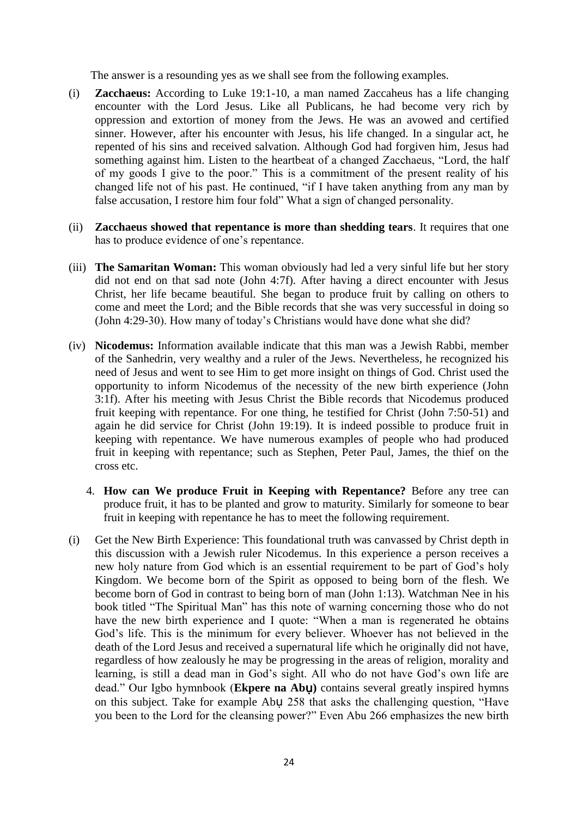The answer is a resounding yes as we shall see from the following examples.

- (i) **Zacchaeus:** According to Luke 19:1-10, a man named Zaccaheus has a life changing encounter with the Lord Jesus. Like all Publicans, he had become very rich by oppression and extortion of money from the Jews. He was an avowed and certified sinner. However, after his encounter with Jesus, his life changed. In a singular act, he repented of his sins and received salvation. Although God had forgiven him, Jesus had something against him. Listen to the heartbeat of a changed Zacchaeus, "Lord, the half of my goods I give to the poor." This is a commitment of the present reality of his changed life not of his past. He continued, "if I have taken anything from any man by false accusation, I restore him four fold" What a sign of changed personality.
- (ii) **Zacchaeus showed that repentance is more than shedding tears**. It requires that one has to produce evidence of one"s repentance.
- (iii) **The Samaritan Woman:** This woman obviously had led a very sinful life but her story did not end on that sad note (John 4:7f). After having a direct encounter with Jesus Christ, her life became beautiful. She began to produce fruit by calling on others to come and meet the Lord; and the Bible records that she was very successful in doing so (John 4:29-30). How many of today"s Christians would have done what she did?
- (iv) **Nicodemus:** Information available indicate that this man was a Jewish Rabbi, member of the Sanhedrin, very wealthy and a ruler of the Jews. Nevertheless, he recognized his need of Jesus and went to see Him to get more insight on things of God. Christ used the opportunity to inform Nicodemus of the necessity of the new birth experience (John 3:1f). After his meeting with Jesus Christ the Bible records that Nicodemus produced fruit keeping with repentance. For one thing, he testified for Christ (John 7:50-51) and again he did service for Christ (John 19:19). It is indeed possible to produce fruit in keeping with repentance. We have numerous examples of people who had produced fruit in keeping with repentance; such as Stephen, Peter Paul, James, the thief on the cross etc.
	- 4. **How can We produce Fruit in Keeping with Repentance?** Before any tree can produce fruit, it has to be planted and grow to maturity. Similarly for someone to bear fruit in keeping with repentance he has to meet the following requirement.
- (i) Get the New Birth Experience: This foundational truth was canvassed by Christ depth in this discussion with a Jewish ruler Nicodemus. In this experience a person receives a new holy nature from God which is an essential requirement to be part of God"s holy Kingdom. We become born of the Spirit as opposed to being born of the flesh. We become born of God in contrast to being born of man (John 1:13). Watchman Nee in his book titled "The Spiritual Man" has this note of warning concerning those who do not have the new birth experience and I quote: "When a man is regenerated he obtains God's life. This is the minimum for every believer. Whoever has not believed in the death of the Lord Jesus and received a supernatural life which he originally did not have, regardless of how zealously he may be progressing in the areas of religion, morality and learning, is still a dead man in God's sight. All who do not have God's own life are dead." Our Igbo hymnbook (**Ekpere na Ab**ụ**)** contains several greatly inspired hymns on this subject. Take for example Abụ 258 that asks the challenging question, "Have you been to the Lord for the cleansing power?" Even Abu 266 emphasizes the new birth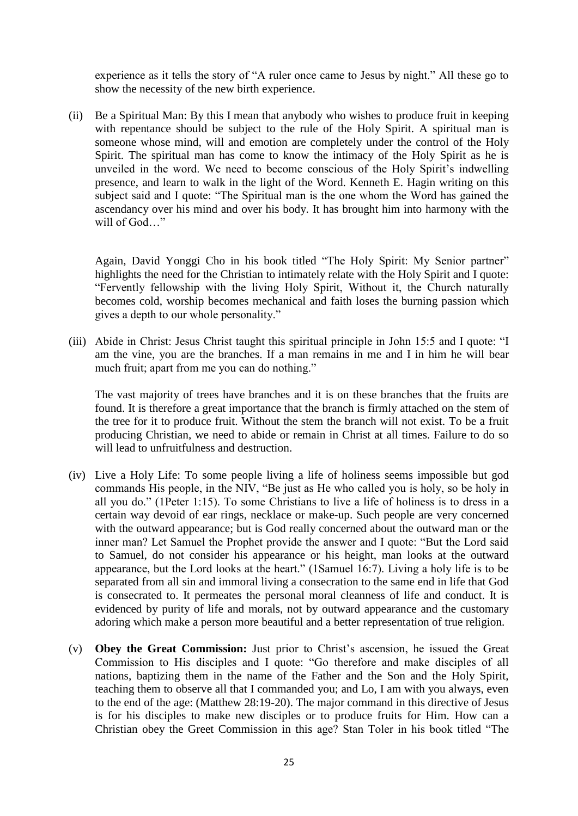experience as it tells the story of "A ruler once came to Jesus by night." All these go to show the necessity of the new birth experience.

(ii) Be a Spiritual Man: By this I mean that anybody who wishes to produce fruit in keeping with repentance should be subject to the rule of the Holy Spirit. A spiritual man is someone whose mind, will and emotion are completely under the control of the Holy Spirit. The spiritual man has come to know the intimacy of the Holy Spirit as he is unveiled in the word. We need to become conscious of the Holy Spirit's indwelling presence, and learn to walk in the light of the Word. Kenneth E. Hagin writing on this subject said and I quote: "The Spiritual man is the one whom the Word has gained the ascendancy over his mind and over his body. It has brought him into harmony with the will of God…"

Again, David Yonggi Cho in his book titled "The Holy Spirit: My Senior partner" highlights the need for the Christian to intimately relate with the Holy Spirit and I quote: "Fervently fellowship with the living Holy Spirit, Without it, the Church naturally becomes cold, worship becomes mechanical and faith loses the burning passion which gives a depth to our whole personality."

(iii) Abide in Christ: Jesus Christ taught this spiritual principle in John 15:5 and I quote: "I am the vine, you are the branches. If a man remains in me and I in him he will bear much fruit; apart from me you can do nothing."

The vast majority of trees have branches and it is on these branches that the fruits are found. It is therefore a great importance that the branch is firmly attached on the stem of the tree for it to produce fruit. Without the stem the branch will not exist. To be a fruit producing Christian, we need to abide or remain in Christ at all times. Failure to do so will lead to unfruitfulness and destruction.

- (iv) Live a Holy Life: To some people living a life of holiness seems impossible but god commands His people, in the NIV, "Be just as He who called you is holy, so be holy in all you do." (1Peter 1:15). To some Christians to live a life of holiness is to dress in a certain way devoid of ear rings, necklace or make-up. Such people are very concerned with the outward appearance; but is God really concerned about the outward man or the inner man? Let Samuel the Prophet provide the answer and I quote: "But the Lord said to Samuel, do not consider his appearance or his height, man looks at the outward appearance, but the Lord looks at the heart." (1Samuel 16:7). Living a holy life is to be separated from all sin and immoral living a consecration to the same end in life that God is consecrated to. It permeates the personal moral cleanness of life and conduct. It is evidenced by purity of life and morals, not by outward appearance and the customary adoring which make a person more beautiful and a better representation of true religion.
- (v) **Obey the Great Commission:** Just prior to Christ"s ascension, he issued the Great Commission to His disciples and I quote: "Go therefore and make disciples of all nations, baptizing them in the name of the Father and the Son and the Holy Spirit, teaching them to observe all that I commanded you; and Lo, I am with you always, even to the end of the age: (Matthew 28:19-20). The major command in this directive of Jesus is for his disciples to make new disciples or to produce fruits for Him. How can a Christian obey the Greet Commission in this age? Stan Toler in his book titled "The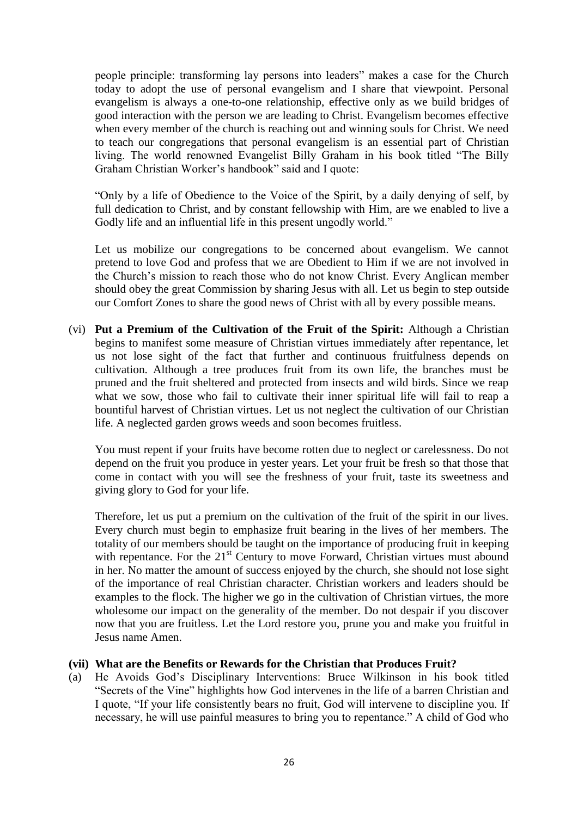people principle: transforming lay persons into leaders" makes a case for the Church today to adopt the use of personal evangelism and I share that viewpoint. Personal evangelism is always a one-to-one relationship, effective only as we build bridges of good interaction with the person we are leading to Christ. Evangelism becomes effective when every member of the church is reaching out and winning souls for Christ. We need to teach our congregations that personal evangelism is an essential part of Christian living. The world renowned Evangelist Billy Graham in his book titled "The Billy Graham Christian Worker"s handbook" said and I quote:

"Only by a life of Obedience to the Voice of the Spirit, by a daily denying of self, by full dedication to Christ, and by constant fellowship with Him, are we enabled to live a Godly life and an influential life in this present ungodly world."

Let us mobilize our congregations to be concerned about evangelism. We cannot pretend to love God and profess that we are Obedient to Him if we are not involved in the Church"s mission to reach those who do not know Christ. Every Anglican member should obey the great Commission by sharing Jesus with all. Let us begin to step outside our Comfort Zones to share the good news of Christ with all by every possible means.

(vi) **Put a Premium of the Cultivation of the Fruit of the Spirit:** Although a Christian begins to manifest some measure of Christian virtues immediately after repentance, let us not lose sight of the fact that further and continuous fruitfulness depends on cultivation. Although a tree produces fruit from its own life, the branches must be pruned and the fruit sheltered and protected from insects and wild birds. Since we reap what we sow, those who fail to cultivate their inner spiritual life will fail to reap a bountiful harvest of Christian virtues. Let us not neglect the cultivation of our Christian life. A neglected garden grows weeds and soon becomes fruitless.

You must repent if your fruits have become rotten due to neglect or carelessness. Do not depend on the fruit you produce in yester years. Let your fruit be fresh so that those that come in contact with you will see the freshness of your fruit, taste its sweetness and giving glory to God for your life.

Therefore, let us put a premium on the cultivation of the fruit of the spirit in our lives. Every church must begin to emphasize fruit bearing in the lives of her members. The totality of our members should be taught on the importance of producing fruit in keeping with repentance. For the  $21<sup>st</sup>$  Century to move Forward, Christian virtues must abound in her. No matter the amount of success enjoyed by the church, she should not lose sight of the importance of real Christian character. Christian workers and leaders should be examples to the flock. The higher we go in the cultivation of Christian virtues, the more wholesome our impact on the generality of the member. Do not despair if you discover now that you are fruitless. Let the Lord restore you, prune you and make you fruitful in Jesus name Amen.

#### **(vii) What are the Benefits or Rewards for the Christian that Produces Fruit?**

(a) He Avoids God"s Disciplinary Interventions: Bruce Wilkinson in his book titled "Secrets of the Vine" highlights how God intervenes in the life of a barren Christian and I quote, "If your life consistently bears no fruit, God will intervene to discipline you. If necessary, he will use painful measures to bring you to repentance." A child of God who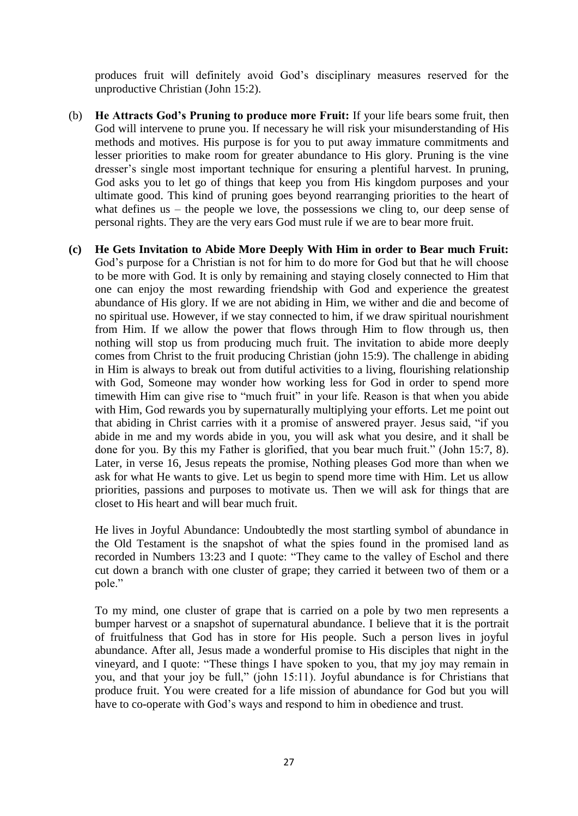produces fruit will definitely avoid God"s disciplinary measures reserved for the unproductive Christian (John 15:2).

- (b) **He Attracts God's Pruning to produce more Fruit:** If your life bears some fruit, then God will intervene to prune you. If necessary he will risk your misunderstanding of His methods and motives. His purpose is for you to put away immature commitments and lesser priorities to make room for greater abundance to His glory. Pruning is the vine dresser's single most important technique for ensuring a plentiful harvest. In pruning, God asks you to let go of things that keep you from His kingdom purposes and your ultimate good. This kind of pruning goes beyond rearranging priorities to the heart of what defines us – the people we love, the possessions we cling to, our deep sense of personal rights. They are the very ears God must rule if we are to bear more fruit.
- **(c) He Gets Invitation to Abide More Deeply With Him in order to Bear much Fruit:** God"s purpose for a Christian is not for him to do more for God but that he will choose to be more with God. It is only by remaining and staying closely connected to Him that one can enjoy the most rewarding friendship with God and experience the greatest abundance of His glory. If we are not abiding in Him, we wither and die and become of no spiritual use. However, if we stay connected to him, if we draw spiritual nourishment from Him. If we allow the power that flows through Him to flow through us, then nothing will stop us from producing much fruit. The invitation to abide more deeply comes from Christ to the fruit producing Christian (john 15:9). The challenge in abiding in Him is always to break out from dutiful activities to a living, flourishing relationship with God, Someone may wonder how working less for God in order to spend more timewith Him can give rise to "much fruit" in your life. Reason is that when you abide with Him, God rewards you by supernaturally multiplying your efforts. Let me point out that abiding in Christ carries with it a promise of answered prayer. Jesus said, "if you abide in me and my words abide in you, you will ask what you desire, and it shall be done for you. By this my Father is glorified, that you bear much fruit." (John 15:7, 8). Later, in verse 16, Jesus repeats the promise, Nothing pleases God more than when we ask for what He wants to give. Let us begin to spend more time with Him. Let us allow priorities, passions and purposes to motivate us. Then we will ask for things that are closet to His heart and will bear much fruit.

He lives in Joyful Abundance: Undoubtedly the most startling symbol of abundance in the Old Testament is the snapshot of what the spies found in the promised land as recorded in Numbers 13:23 and I quote: "They came to the valley of Eschol and there cut down a branch with one cluster of grape; they carried it between two of them or a pole."

To my mind, one cluster of grape that is carried on a pole by two men represents a bumper harvest or a snapshot of supernatural abundance. I believe that it is the portrait of fruitfulness that God has in store for His people. Such a person lives in joyful abundance. After all, Jesus made a wonderful promise to His disciples that night in the vineyard, and I quote: "These things I have spoken to you, that my joy may remain in you, and that your joy be full," (john 15:11). Joyful abundance is for Christians that produce fruit. You were created for a life mission of abundance for God but you will have to co-operate with God's ways and respond to him in obedience and trust.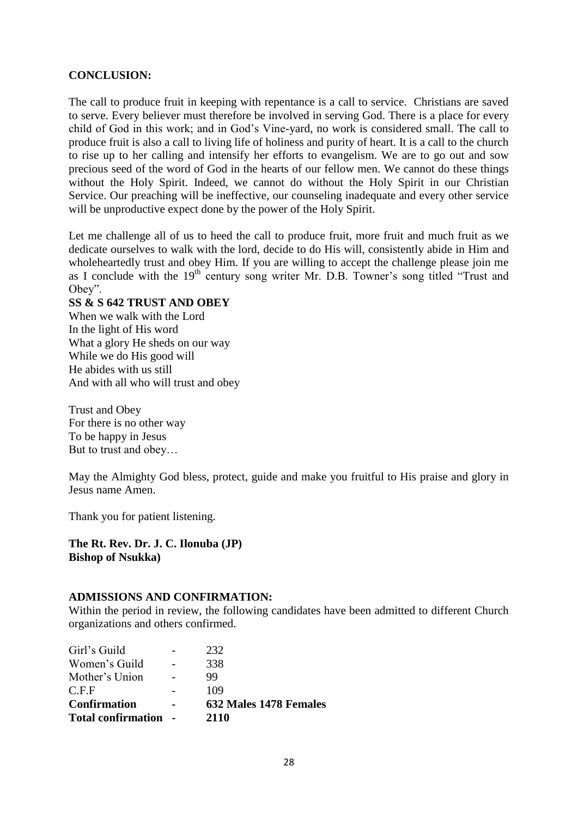## **CONCLUSION:**

The call to produce fruit in keeping with repentance is a call to service. Christians are saved to serve. Every believer must therefore be involved in serving God. There is a place for every child of God in this work; and in God"s Vine-yard, no work is considered small. The call to produce fruit is also a call to living life of holiness and purity of heart. It is a call to the church to rise up to her calling and intensify her efforts to evangelism. We are to go out and sow precious seed of the word of God in the hearts of our fellow men. We cannot do these things without the Holy Spirit. Indeed, we cannot do without the Holy Spirit in our Christian Service. Our preaching will be ineffective, our counseling inadequate and every other service will be unproductive expect done by the power of the Holy Spirit.

Let me challenge all of us to heed the call to produce fruit, more fruit and much fruit as we dedicate ourselves to walk with the lord, decide to do His will, consistently abide in Him and wholeheartedly trust and obey Him. If you are willing to accept the challenge please join me as I conclude with the 19<sup>th</sup> century song writer Mr. D.B. Towner's song titled "Trust and Obey".

#### **SS & S 642 TRUST AND OBEY**

When we walk with the Lord In the light of His word What a glory He sheds on our way While we do His good will He abides with us still And with all who will trust and obey

Trust and Obey For there is no other way To be happy in Jesus But to trust and obey…

May the Almighty God bless, protect, guide and make you fruitful to His praise and glory in Jesus name Amen.

Thank you for patient listening.

**The Rt. Rev. Dr. J. C. Ilonuba (JP) Bishop of Nsukka)**

#### **ADMISSIONS AND CONFIRMATION:**

Within the period in review, the following candidates have been admitted to different Church organizations and others confirmed.

| <b>Total confirmation</b> | 2110                   |
|---------------------------|------------------------|
| <b>Confirmation</b>       | 632 Males 1478 Females |
| C.F.F                     | 109                    |
| Mother's Union            | 99                     |
| Women's Guild             | 338                    |
| Girl's Guild              | 232                    |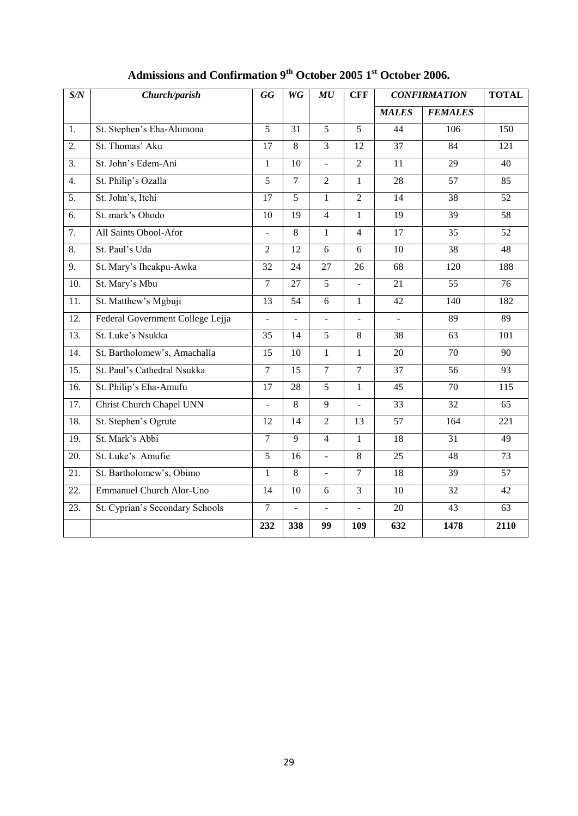| S/N               | Church/parish                    | <b>GG</b>       | $W\overline{G}$ | MU             | <b>CFF</b>      | <b>CONFIRMATION</b> |                 | <b>TOTAL</b>     |
|-------------------|----------------------------------|-----------------|-----------------|----------------|-----------------|---------------------|-----------------|------------------|
|                   |                                  |                 |                 |                |                 | <b>MALES</b>        | <b>FEMALES</b>  |                  |
| 1.                | St. Stephen's Eha-Alumona        | $\overline{5}$  | $\overline{31}$ | $\overline{5}$ | $\overline{5}$  | 44                  | 106             | 150              |
| 2.                | St. Thomas' Aku                  | 17              | 8               | $\overline{3}$ | 12              | 37                  | 84              | 121              |
| $\overline{3}$ .  | St. John's Edem-Ani              | $\mathbf{1}$    | 10              | $\overline{a}$ | $\overline{2}$  | 11                  | 29              | 40               |
| $\overline{4}$ .  | St. Philip's Ozalla              | $\overline{5}$  | $\overline{7}$  | $\overline{2}$ | $\mathbf{1}$    | 28                  | 57              | 85               |
| $\overline{5}$ .  | St. John's, Itchi                | 17              | $\overline{5}$  | $\mathbf{1}$   | $\overline{2}$  | 14                  | 38              | $\overline{52}$  |
| 6.                | St. mark's Ohodo                 | 10              | 19              | $\overline{4}$ | $\mathbf{1}$    | $\overline{19}$     | 39              | 58               |
| 7.                | All Saints Obool-Afor            | $\blacksquare$  | $\overline{8}$  | $\mathbf{1}$   | $\overline{4}$  | 17                  | $\overline{35}$ | 52               |
| 8.                | St. Paul's Uda                   | $\overline{2}$  | 12              | 6              | 6               | 10                  | 38              | 48               |
| 9.                | St. Mary's Iheakpu-Awka          | 32              | 24              | 27             | 26              | 68                  | 120             | 188              |
| 10.               | St. Mary's Mbu                   | $\overline{7}$  | $\overline{27}$ | $\overline{5}$ |                 | $\overline{21}$     | $\overline{55}$ | $\overline{76}$  |
| 11.               | St. Matthew's Mgbuji             | 13              | 54              | 6              | $\mathbf{1}$    | 42                  | 140             | 182              |
| $\overline{12}$ . | Federal Government College Lejja | ÷.              | $\overline{a}$  | $\overline{a}$ | $\overline{a}$  | $\overline{a}$      | 89              | 89               |
| $\overline{13}$ . | St. Luke's Nsukka                | 35              | 14              | 5              | 8               | 38                  | 63              | 101              |
| 14.               | St. Bartholomew's, Amachalla     | 15              | 10              | $\mathbf{1}$   | $\mathbf{1}$    | 20                  | 70              | 90               |
| 15.               | St. Paul's Cathedral Nsukka      | $\overline{7}$  | 15              | $\overline{7}$ | $\overline{7}$  | 37                  | 56              | 93               |
| $\overline{16}$ . | St. Philip's Eha-Amufu           | 17              | 28              | $\overline{5}$ | $\mathbf{1}$    | $\overline{45}$     | $\overline{70}$ | 115              |
| 17.               | <b>Christ Church Chapel UNN</b>  |                 | 8               | 9              |                 | 33                  | 32              | 65               |
| 18.               | St. Stephen's Ogrute             | $\overline{12}$ | $\overline{14}$ | $\overline{2}$ | $\overline{13}$ | 57                  | 164             | $\overline{221}$ |
| 19.               | St. Mark's Abbi                  | $\overline{7}$  | $\overline{9}$  | $\overline{4}$ | $\mathbf{1}$    | $\overline{18}$     | 31              | $\overline{49}$  |
| 20.               | St. Luke's Amufie                | $\overline{5}$  | 16              | $\overline{a}$ | 8               | 25                  | 48              | $\overline{73}$  |
| 21.               | St. Bartholomew's, Obimo         | 1               | $\overline{8}$  | $\frac{1}{2}$  | $\tau$          | $\overline{18}$     | $\overline{39}$ | $\overline{57}$  |
| 22.               | <b>Emmanuel Church Alor-Uno</b>  | 14              | 10              | 6              | $\overline{3}$  | 10                  | 32              | 42               |
| 23.               | St. Cyprian's Secondary Schools  | $\overline{7}$  | $\overline{a}$  | ÷,             | $\overline{a}$  | 20                  | 43              | 63               |
|                   |                                  | 232             | 338             | 99             | 109             | 632                 | 1478            | 2110             |

# **Admissions and Confirmation 9th October 2005 1st October 2006.**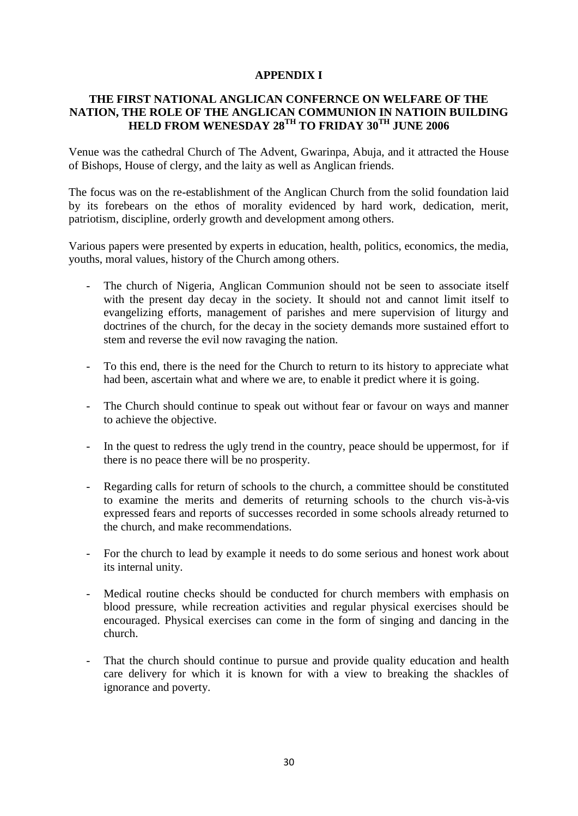#### **APPENDIX I**

#### **THE FIRST NATIONAL ANGLICAN CONFERNCE ON WELFARE OF THE NATION, THE ROLE OF THE ANGLICAN COMMUNION IN NATIOIN BUILDING HELD FROM WENESDAY 28TH TO FRIDAY 30TH JUNE 2006**

Venue was the cathedral Church of The Advent, Gwarinpa, Abuja, and it attracted the House of Bishops, House of clergy, and the laity as well as Anglican friends.

The focus was on the re-establishment of the Anglican Church from the solid foundation laid by its forebears on the ethos of morality evidenced by hard work, dedication, merit, patriotism, discipline, orderly growth and development among others.

Various papers were presented by experts in education, health, politics, economics, the media, youths, moral values, history of the Church among others.

- The church of Nigeria, Anglican Communion should not be seen to associate itself with the present day decay in the society. It should not and cannot limit itself to evangelizing efforts, management of parishes and mere supervision of liturgy and doctrines of the church, for the decay in the society demands more sustained effort to stem and reverse the evil now ravaging the nation.
- To this end, there is the need for the Church to return to its history to appreciate what had been, ascertain what and where we are, to enable it predict where it is going.
- The Church should continue to speak out without fear or favour on ways and manner to achieve the objective.
- In the quest to redress the ugly trend in the country, peace should be uppermost, for if there is no peace there will be no prosperity.
- Regarding calls for return of schools to the church, a committee should be constituted to examine the merits and demerits of returning schools to the church vis-à-vis expressed fears and reports of successes recorded in some schools already returned to the church, and make recommendations.
- For the church to lead by example it needs to do some serious and honest work about its internal unity.
- Medical routine checks should be conducted for church members with emphasis on blood pressure, while recreation activities and regular physical exercises should be encouraged. Physical exercises can come in the form of singing and dancing in the church.
- That the church should continue to pursue and provide quality education and health care delivery for which it is known for with a view to breaking the shackles of ignorance and poverty.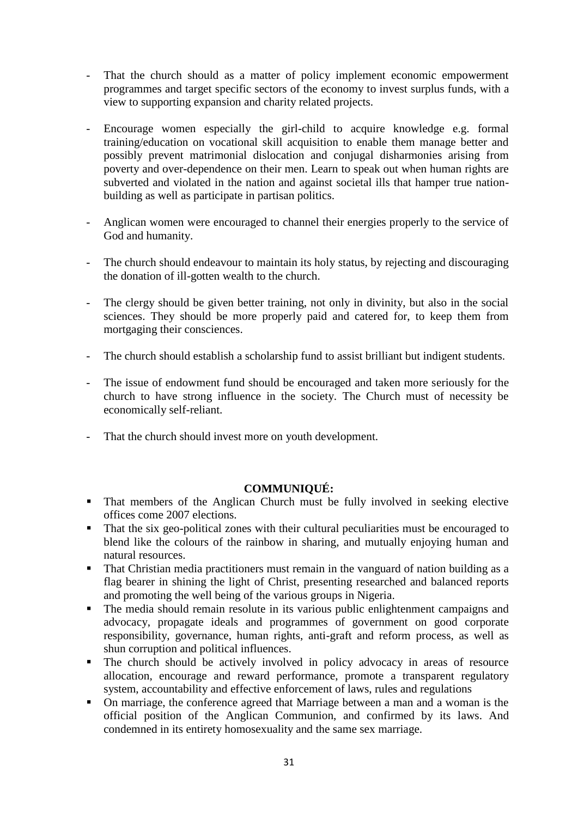- That the church should as a matter of policy implement economic empowerment programmes and target specific sectors of the economy to invest surplus funds, with a view to supporting expansion and charity related projects.
- Encourage women especially the girl-child to acquire knowledge e.g. formal training/education on vocational skill acquisition to enable them manage better and possibly prevent matrimonial dislocation and conjugal disharmonies arising from poverty and over-dependence on their men. Learn to speak out when human rights are subverted and violated in the nation and against societal ills that hamper true nationbuilding as well as participate in partisan politics.
- Anglican women were encouraged to channel their energies properly to the service of God and humanity.
- The church should endeavour to maintain its holy status, by rejecting and discouraging the donation of ill-gotten wealth to the church.
- The clergy should be given better training, not only in divinity, but also in the social sciences. They should be more properly paid and catered for, to keep them from mortgaging their consciences.
- The church should establish a scholarship fund to assist brilliant but indigent students.
- The issue of endowment fund should be encouraged and taken more seriously for the church to have strong influence in the society. The Church must of necessity be economically self-reliant.
- That the church should invest more on youth development.

# **COMMUNIQUÉ:**

- That members of the Anglican Church must be fully involved in seeking elective offices come 2007 elections.
- That the six geo-political zones with their cultural peculiarities must be encouraged to blend like the colours of the rainbow in sharing, and mutually enjoying human and natural resources.
- That Christian media practitioners must remain in the vanguard of nation building as a flag bearer in shining the light of Christ, presenting researched and balanced reports and promoting the well being of the various groups in Nigeria.
- The media should remain resolute in its various public enlightenment campaigns and advocacy, propagate ideals and programmes of government on good corporate responsibility, governance, human rights, anti-graft and reform process, as well as shun corruption and political influences.
- The church should be actively involved in policy advocacy in areas of resource allocation, encourage and reward performance, promote a transparent regulatory system, accountability and effective enforcement of laws, rules and regulations
- On marriage, the conference agreed that Marriage between a man and a woman is the official position of the Anglican Communion, and confirmed by its laws. And condemned in its entirety homosexuality and the same sex marriage.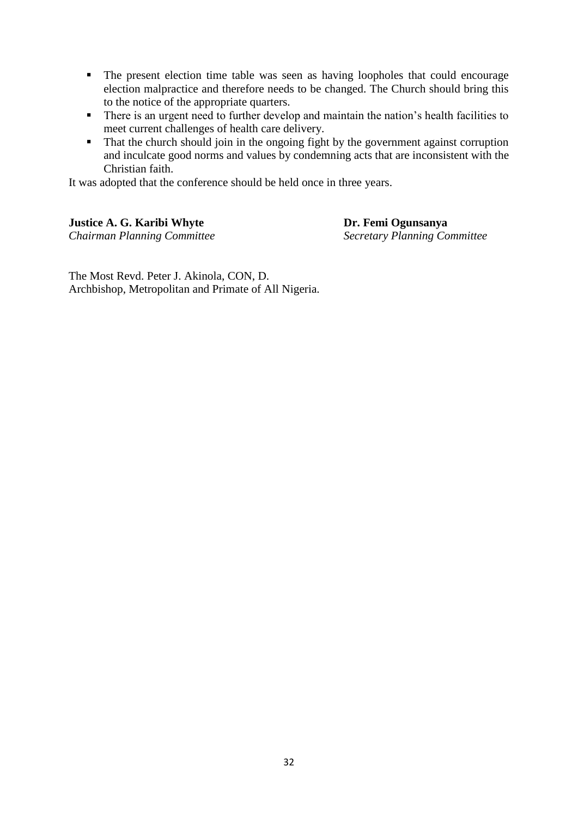- The present election time table was seen as having loopholes that could encourage election malpractice and therefore needs to be changed. The Church should bring this to the notice of the appropriate quarters.
- There is an urgent need to further develop and maintain the nation's health facilities to meet current challenges of health care delivery.
- That the church should join in the ongoing fight by the government against corruption and inculcate good norms and values by condemning acts that are inconsistent with the Christian faith.

It was adopted that the conference should be held once in three years.

#### **Justice A. G. Karibi Whyte Dr. Femi Ogunsanya**

*Chairman Planning Committee Secretary Planning Committee*

The Most Revd. Peter J. Akinola, CON, D. Archbishop, Metropolitan and Primate of All Nigeria.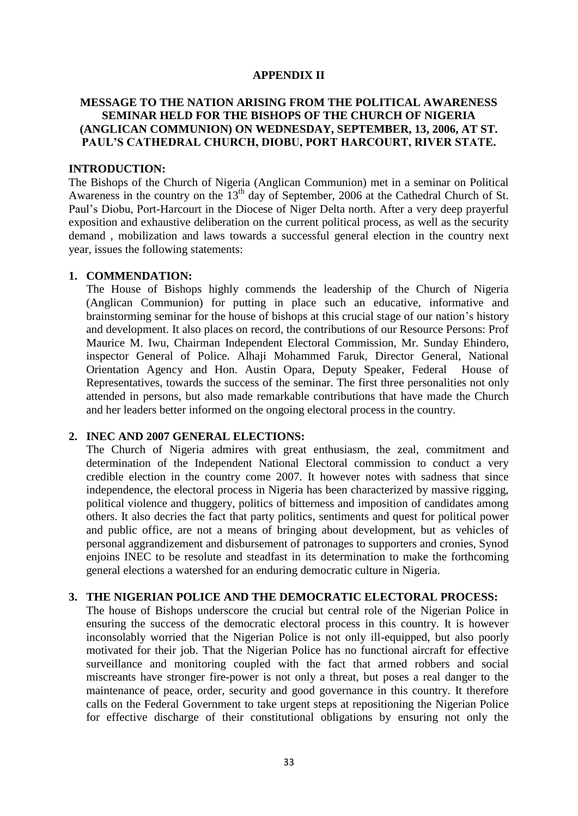#### **APPENDIX II**

### **MESSAGE TO THE NATION ARISING FROM THE POLITICAL AWARENESS SEMINAR HELD FOR THE BISHOPS OF THE CHURCH OF NIGERIA (ANGLICAN COMMUNION) ON WEDNESDAY, SEPTEMBER, 13, 2006, AT ST. PAUL'S CATHEDRAL CHURCH, DIOBU, PORT HARCOURT, RIVER STATE.**

#### **INTRODUCTION:**

The Bishops of the Church of Nigeria (Anglican Communion) met in a seminar on Political Awareness in the country on the  $13<sup>th</sup>$  day of September, 2006 at the Cathedral Church of St. Paul"s Diobu, Port-Harcourt in the Diocese of Niger Delta north. After a very deep prayerful exposition and exhaustive deliberation on the current political process, as well as the security demand , mobilization and laws towards a successful general election in the country next year, issues the following statements:

#### **1. COMMENDATION:**

The House of Bishops highly commends the leadership of the Church of Nigeria (Anglican Communion) for putting in place such an educative, informative and brainstorming seminar for the house of bishops at this crucial stage of our nation"s history and development. It also places on record, the contributions of our Resource Persons: Prof Maurice M. Iwu, Chairman Independent Electoral Commission, Mr. Sunday Ehindero, inspector General of Police. Alhaji Mohammed Faruk, Director General, National Orientation Agency and Hon. Austin Opara, Deputy Speaker, Federal House of Representatives, towards the success of the seminar. The first three personalities not only attended in persons, but also made remarkable contributions that have made the Church and her leaders better informed on the ongoing electoral process in the country.

#### **2. INEC AND 2007 GENERAL ELECTIONS:**

The Church of Nigeria admires with great enthusiasm, the zeal, commitment and determination of the Independent National Electoral commission to conduct a very credible election in the country come 2007. It however notes with sadness that since independence, the electoral process in Nigeria has been characterized by massive rigging, political violence and thuggery, politics of bitterness and imposition of candidates among others. It also decries the fact that party politics, sentiments and quest for political power and public office, are not a means of bringing about development, but as vehicles of personal aggrandizement and disbursement of patronages to supporters and cronies, Synod enjoins INEC to be resolute and steadfast in its determination to make the forthcoming general elections a watershed for an enduring democratic culture in Nigeria.

#### **3. THE NIGERIAN POLICE AND THE DEMOCRATIC ELECTORAL PROCESS:**

The house of Bishops underscore the crucial but central role of the Nigerian Police in ensuring the success of the democratic electoral process in this country. It is however inconsolably worried that the Nigerian Police is not only ill-equipped, but also poorly motivated for their job. That the Nigerian Police has no functional aircraft for effective surveillance and monitoring coupled with the fact that armed robbers and social miscreants have stronger fire-power is not only a threat, but poses a real danger to the maintenance of peace, order, security and good governance in this country. It therefore calls on the Federal Government to take urgent steps at repositioning the Nigerian Police for effective discharge of their constitutional obligations by ensuring not only the